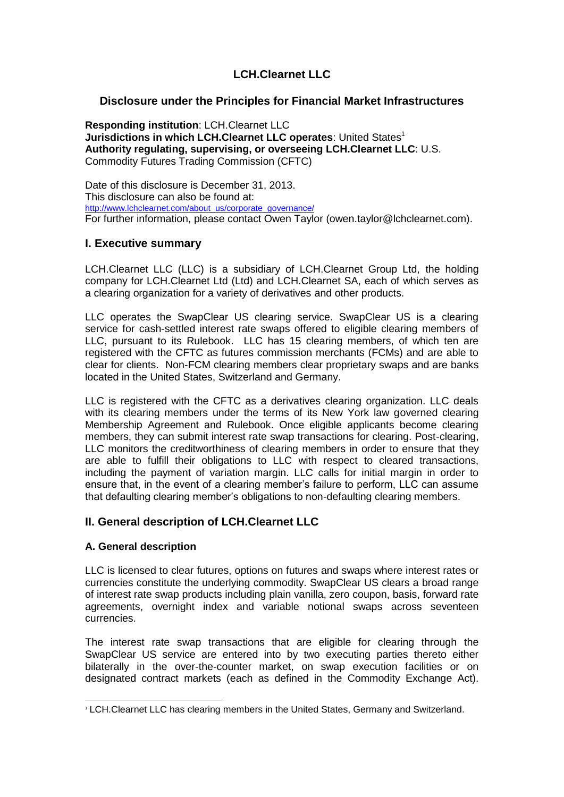# **LCH.Clearnet LLC**

# **Disclosure under the Principles for Financial Market Infrastructures**

**Responding institution**: LCH.Clearnet LLC **Jurisdictions in which LCH.Clearnet LLC operates: United States<sup>1</sup> Authority regulating, supervising, or overseeing LCH.Clearnet LLC**: U.S. Commodity Futures Trading Commission (CFTC)

Date of this disclosure is December 31, 2013. This disclosure can also be found at: [http://www.lchclearnet.com/about\\_us/corporate\\_governance/](http://www.lchclearnet.com/about_us/corporate_governance/) For further information, please contact Owen Taylor (owen.taylor@lchclearnet.com).

# **I. Executive summary**

LCH.Clearnet LLC (LLC) is a subsidiary of LCH.Clearnet Group Ltd, the holding company for LCH.Clearnet Ltd (Ltd) and LCH.Clearnet SA, each of which serves as a clearing organization for a variety of derivatives and other products.

LLC operates the SwapClear US clearing service. SwapClear US is a clearing service for cash-settled interest rate swaps offered to eligible clearing members of LLC, pursuant to its Rulebook. LLC has 15 clearing members, of which ten are registered with the CFTC as futures commission merchants (FCMs) and are able to clear for clients. Non-FCM clearing members clear proprietary swaps and are banks located in the United States, Switzerland and Germany.

LLC is registered with the CFTC as a derivatives clearing organization. LLC deals with its clearing members under the terms of its New York law governed clearing Membership Agreement and Rulebook. Once eligible applicants become clearing members, they can submit interest rate swap transactions for clearing. Post-clearing, LLC monitors the creditworthiness of clearing members in order to ensure that they are able to fulfill their obligations to LLC with respect to cleared transactions, including the payment of variation margin. LLC calls for initial margin in order to ensure that, in the event of a clearing member's failure to perform, LLC can assume that defaulting clearing member's obligations to non-defaulting clearing members.

# **II. General description of LCH.Clearnet LLC**

# **A. General description**

LLC is licensed to clear futures, options on futures and swaps where interest rates or currencies constitute the underlying commodity. SwapClear US clears a broad range of interest rate swap products including plain vanilla, zero coupon, basis, forward rate agreements, overnight index and variable notional swaps across seventeen currencies.

The interest rate swap transactions that are eligible for clearing through the SwapClear US service are entered into by two executing parties thereto either bilaterally in the over-the-counter market, on swap execution facilities or on designated contract markets (each as defined in the Commodity Exchange Act).

 $\overline{a}$ *<sup>1</sup>* LCH.Clearnet LLC has clearing members in the United States, Germany and Switzerland.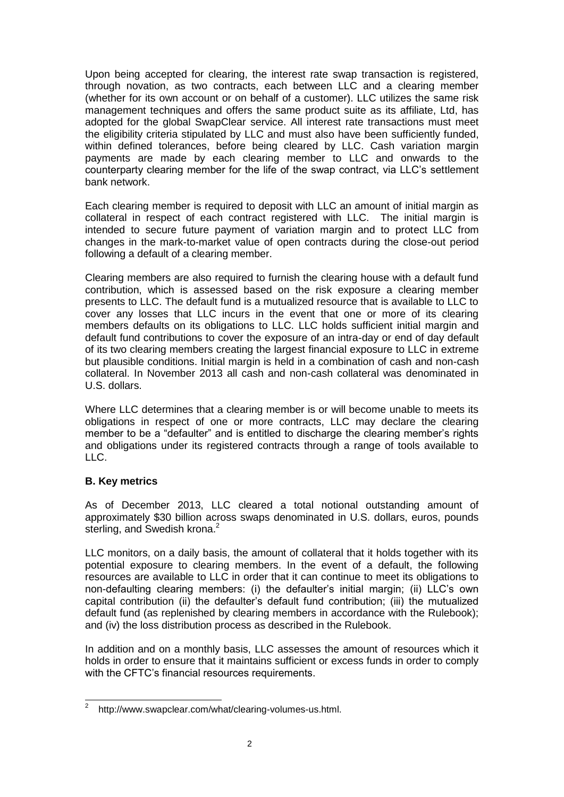Upon being accepted for clearing, the interest rate swap transaction is registered, through novation, as two contracts, each between LLC and a clearing member (whether for its own account or on behalf of a customer). LLC utilizes the same risk management techniques and offers the same product suite as its affiliate, Ltd, has adopted for the global SwapClear service. All interest rate transactions must meet the eligibility criteria stipulated by LLC and must also have been sufficiently funded, within defined tolerances, before being cleared by LLC. Cash variation margin payments are made by each clearing member to LLC and onwards to the counterparty clearing member for the life of the swap contract, via LLC's settlement bank network.

Each clearing member is required to deposit with LLC an amount of initial margin as collateral in respect of each contract registered with LLC. The initial margin is intended to secure future payment of variation margin and to protect LLC from changes in the mark-to-market value of open contracts during the close-out period following a default of a clearing member.

Clearing members are also required to furnish the clearing house with a default fund contribution, which is assessed based on the risk exposure a clearing member presents to LLC. The default fund is a mutualized resource that is available to LLC to cover any losses that LLC incurs in the event that one or more of its clearing members defaults on its obligations to LLC. LLC holds sufficient initial margin and default fund contributions to cover the exposure of an intra-day or end of day default of its two clearing members creating the largest financial exposure to LLC in extreme but plausible conditions. Initial margin is held in a combination of cash and non-cash collateral. In November 2013 all cash and non-cash collateral was denominated in U.S. dollars.

Where LLC determines that a clearing member is or will become unable to meets its obligations in respect of one or more contracts, LLC may declare the clearing member to be a "defaulter" and is entitled to discharge the clearing member's rights and obligations under its registered contracts through a range of tools available to LLC.

# **B. Key metrics**

As of December 2013, LLC cleared a total notional outstanding amount of approximately \$30 billion across swaps denominated in U.S. dollars, euros, pounds sterling, and Swedish krona.<sup>2</sup>

LLC monitors, on a daily basis, the amount of collateral that it holds together with its potential exposure to clearing members. In the event of a default, the following resources are available to LLC in order that it can continue to meet its obligations to non-defaulting clearing members: (i) the defaulter's initial margin; (ii) LLC's own capital contribution (ii) the defaulter's default fund contribution; (iii) the mutualized default fund (as replenished by clearing members in accordance with the Rulebook); and (iv) the loss distribution process as described in the Rulebook.

In addition and on a monthly basis, LLC assesses the amount of resources which it holds in order to ensure that it maintains sufficient or excess funds in order to comply with the CFTC's financial resources requirements.

 2 http://www.swapclear.com/what/clearing-volumes-us.html.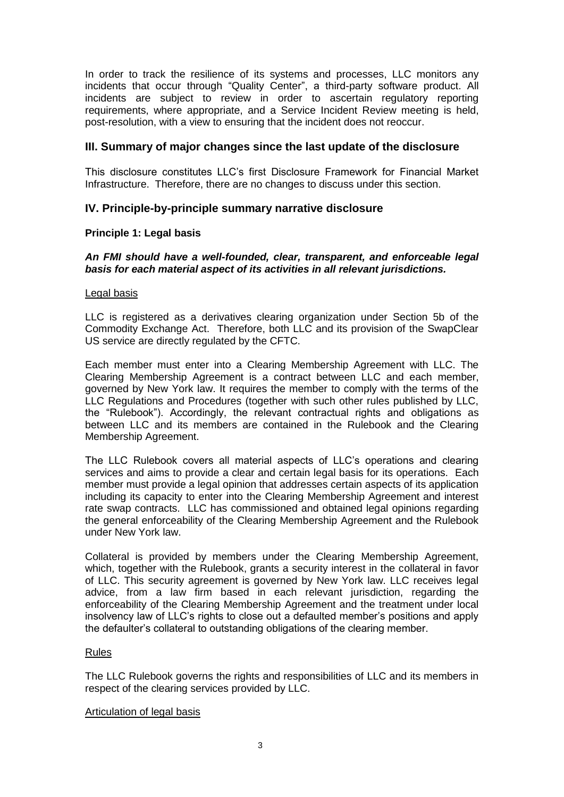In order to track the resilience of its systems and processes, LLC monitors any incidents that occur through "Quality Center", a third-party software product. All incidents are subject to review in order to ascertain regulatory reporting requirements, where appropriate, and a Service Incident Review meeting is held, post-resolution, with a view to ensuring that the incident does not reoccur.

# **III. Summary of major changes since the last update of the disclosure**

This disclosure constitutes LLC's first Disclosure Framework for Financial Market Infrastructure. Therefore, there are no changes to discuss under this section.

# **IV. Principle-by-principle summary narrative disclosure**

# **Principle 1: Legal basis**

## *An FMI should have a well-founded, clear, transparent, and enforceable legal basis for each material aspect of its activities in all relevant jurisdictions.*

### Legal basis

LLC is registered as a derivatives clearing organization under Section 5b of the Commodity Exchange Act. Therefore, both LLC and its provision of the SwapClear US service are directly regulated by the CFTC.

Each member must enter into a Clearing Membership Agreement with LLC. The Clearing Membership Agreement is a contract between LLC and each member, governed by New York law. It requires the member to comply with the terms of the LLC Regulations and Procedures (together with such other rules published by LLC, the "Rulebook"). Accordingly, the relevant contractual rights and obligations as between LLC and its members are contained in the Rulebook and the Clearing Membership Agreement.

The LLC Rulebook covers all material aspects of LLC's operations and clearing services and aims to provide a clear and certain legal basis for its operations. Each member must provide a legal opinion that addresses certain aspects of its application including its capacity to enter into the Clearing Membership Agreement and interest rate swap contracts. LLC has commissioned and obtained legal opinions regarding the general enforceability of the Clearing Membership Agreement and the Rulebook under New York law.

Collateral is provided by members under the Clearing Membership Agreement, which, together with the Rulebook, grants a security interest in the collateral in favor of LLC. This security agreement is governed by New York law. LLC receives legal advice, from a law firm based in each relevant jurisdiction, regarding the enforceability of the Clearing Membership Agreement and the treatment under local insolvency law of LLC's rights to close out a defaulted member's positions and apply the defaulter's collateral to outstanding obligations of the clearing member.

# Rules

The LLC Rulebook governs the rights and responsibilities of LLC and its members in respect of the clearing services provided by LLC.

### Articulation of legal basis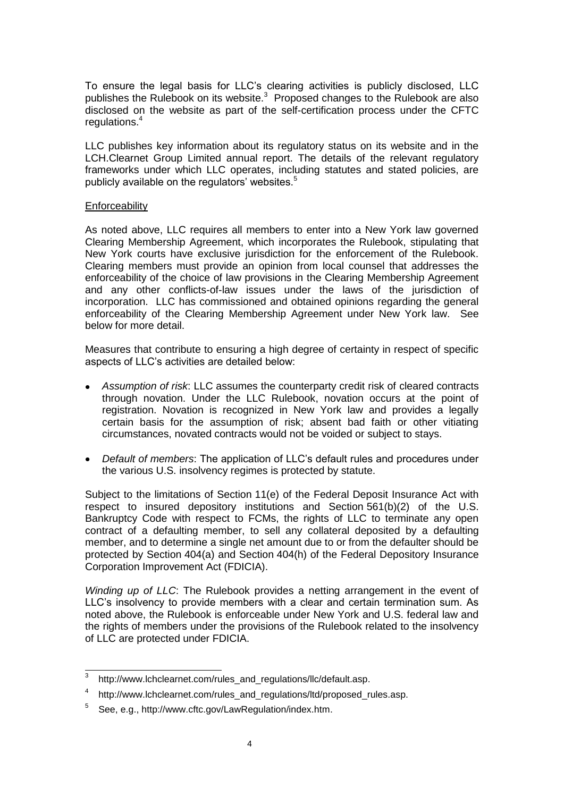To ensure the legal basis for LLC's clearing activities is publicly disclosed, LLC publishes the Rulebook on its website.<sup>3</sup> Proposed changes to the Rulebook are also disclosed on the website as part of the self-certification process under the CFTC regulations.<sup>4</sup>

LLC publishes key information about its regulatory status on its website and in the LCH.Clearnet Group Limited annual report. The details of the relevant regulatory frameworks under which LLC operates, including statutes and stated policies, are publicly available on the regulators' websites.<sup>5</sup>

### **Enforceability**

As noted above, LLC requires all members to enter into a New York law governed Clearing Membership Agreement, which incorporates the Rulebook, stipulating that New York courts have exclusive jurisdiction for the enforcement of the Rulebook. Clearing members must provide an opinion from local counsel that addresses the enforceability of the choice of law provisions in the Clearing Membership Agreement and any other conflicts-of-law issues under the laws of the jurisdiction of incorporation. LLC has commissioned and obtained opinions regarding the general enforceability of the Clearing Membership Agreement under New York law. See below for more detail.

Measures that contribute to ensuring a high degree of certainty in respect of specific aspects of LLC's activities are detailed below:

- *Assumption of risk*: LLC assumes the counterparty credit risk of cleared contracts  $\bullet$ through novation. Under the LLC Rulebook, novation occurs at the point of registration. Novation is recognized in New York law and provides a legally certain basis for the assumption of risk; absent bad faith or other vitiating circumstances, novated contracts would not be voided or subject to stays.
- *Default of members*: The application of LLC's default rules and procedures under the various U.S. insolvency regimes is protected by statute.

Subject to the limitations of Section 11(e) of the Federal Deposit Insurance Act with respect to insured depository institutions and Section 561(b)(2) of the U.S. Bankruptcy Code with respect to FCMs, the rights of LLC to terminate any open contract of a defaulting member, to sell any collateral deposited by a defaulting member, and to determine a single net amount due to or from the defaulter should be protected by Section 404(a) and Section 404(h) of the Federal Depository Insurance Corporation Improvement Act (FDICIA).

*Winding up of LLC*: The Rulebook provides a netting arrangement in the event of LLC's insolvency to provide members with a clear and certain termination sum. As noted above, the Rulebook is enforceable under New York and U.S. federal law and the rights of members under the provisions of the Rulebook related to the insolvency of LLC are protected under FDICIA.

<sup>-&</sup>lt;br>3 http://www.lchclearnet.com/rules\_and\_regulations/llc/default.asp.

<sup>&</sup>lt;sup>4</sup> http://www.lchclearnet.com/rules\_and\_regulations/ltd/proposed\_rules.asp.

<sup>&</sup>lt;sup>5</sup> See, e.g., http://www.cftc.gov/LawRegulation/index.htm.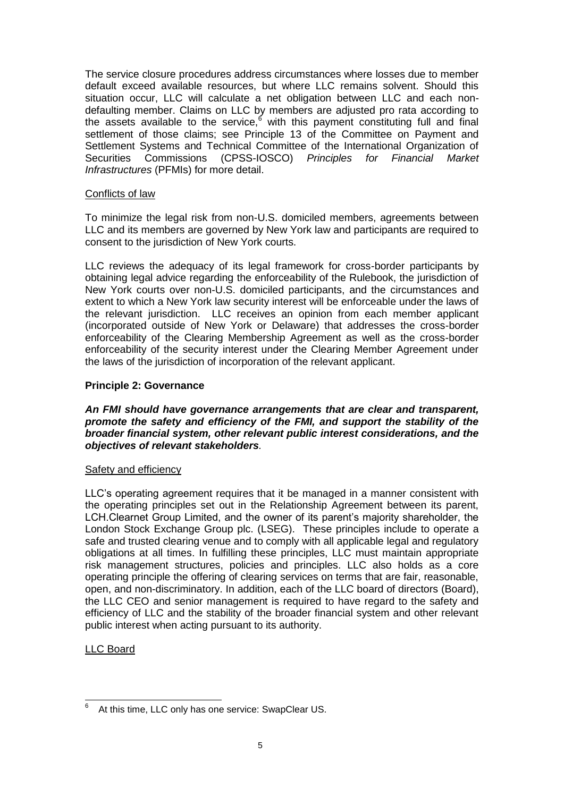The service closure procedures address circumstances where losses due to member default exceed available resources, but where LLC remains solvent. Should this situation occur, LLC will calculate a net obligation between LLC and each nondefaulting member. Claims on LLC by members are adjusted pro rata according to the assets available to the service,  $6 \overline{ }$  with this payment constituting full and final settlement of those claims; see Principle 13 of the Committee on Payment and Settlement Systems and Technical Committee of the International Organization of Securities Commissions (CPSS-IOSCO) *Principles for Financial Market Infrastructures* (PFMIs) for more detail.

# Conflicts of law

To minimize the legal risk from non-U.S. domiciled members, agreements between LLC and its members are governed by New York law and participants are required to consent to the jurisdiction of New York courts.

LLC reviews the adequacy of its legal framework for cross-border participants by obtaining legal advice regarding the enforceability of the Rulebook, the jurisdiction of New York courts over non-U.S. domiciled participants, and the circumstances and extent to which a New York law security interest will be enforceable under the laws of the relevant jurisdiction. LLC receives an opinion from each member applicant (incorporated outside of New York or Delaware) that addresses the cross-border enforceability of the Clearing Membership Agreement as well as the cross-border enforceability of the security interest under the Clearing Member Agreement under the laws of the jurisdiction of incorporation of the relevant applicant.

# **Principle 2: Governance**

*An FMI should have governance arrangements that are clear and transparent, promote the safety and efficiency of the FMI, and support the stability of the broader financial system, other relevant public interest considerations, and the objectives of relevant stakeholders.* 

### Safety and efficiency

LLC's operating agreement requires that it be managed in a manner consistent with the operating principles set out in the Relationship Agreement between its parent, LCH.Clearnet Group Limited, and the owner of its parent's majority shareholder, the London Stock Exchange Group plc. (LSEG). These principles include to operate a safe and trusted clearing venue and to comply with all applicable legal and regulatory obligations at all times. In fulfilling these principles, LLC must maintain appropriate risk management structures, policies and principles. LLC also holds as a core operating principle the offering of clearing services on terms that are fair, reasonable, open, and non-discriminatory. In addition, each of the LLC board of directors (Board), the LLC CEO and senior management is required to have regard to the safety and efficiency of LLC and the stability of the broader financial system and other relevant public interest when acting pursuant to its authority.

# LLC Board

 6 At this time, LLC only has one service: SwapClear US.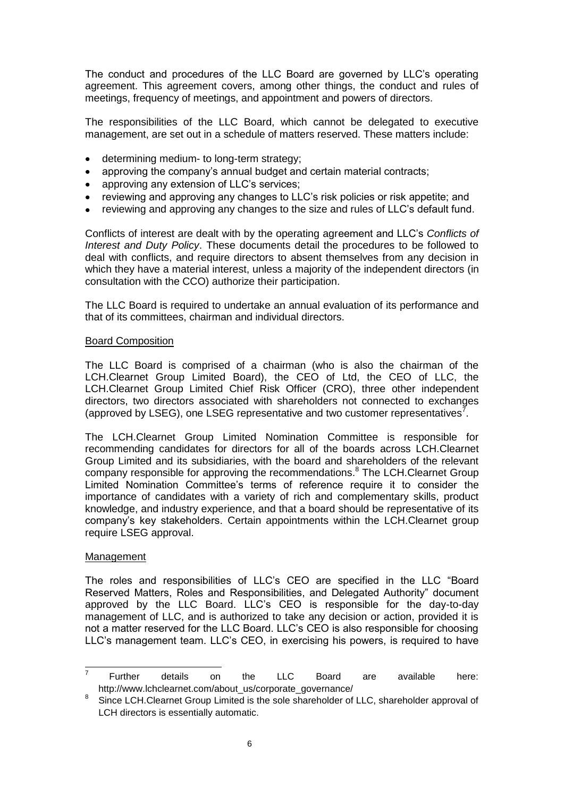The conduct and procedures of the LLC Board are governed by LLC's operating agreement. This agreement covers, among other things, the conduct and rules of meetings, frequency of meetings, and appointment and powers of directors.

The responsibilities of the LLC Board, which cannot be delegated to executive management, are set out in a schedule of matters reserved. These matters include:

- determining medium- to long-term strategy;  $\bullet$
- approving the company's annual budget and certain material contracts;  $\bullet$
- approving any extension of LLC's services;
- reviewing and approving any changes to LLC's risk policies or risk appetite; and  $\bullet$
- reviewing and approving any changes to the size and rules of LLC's default fund.

Conflicts of interest are dealt with by the operating agreement and LLC's *Conflicts of Interest and Duty Policy*. These documents detail the procedures to be followed to deal with conflicts, and require directors to absent themselves from any decision in which they have a material interest, unless a majority of the independent directors (in consultation with the CCO) authorize their participation.

The LLC Board is required to undertake an annual evaluation of its performance and that of its committees, chairman and individual directors.

#### Board Composition

The LLC Board is comprised of a chairman (who is also the chairman of the LCH.Clearnet Group Limited Board), the CEO of Ltd, the CEO of LLC, the LCH.Clearnet Group Limited Chief Risk Officer (CRO), three other independent directors, two directors associated with shareholders not connected to exchanges (approved by LSEG), one LSEG representative and two customer representatives<sup>7</sup>.

The LCH.Clearnet Group Limited Nomination Committee is responsible for recommending candidates for directors for all of the boards across LCH.Clearnet Group Limited and its subsidiaries, with the board and shareholders of the relevant company responsible for approving the recommendations.<sup>8</sup> The LCH.Clearnet Group Limited Nomination Committee's terms of reference require it to consider the importance of candidates with a variety of rich and complementary skills, product knowledge, and industry experience, and that a board should be representative of its company's key stakeholders. Certain appointments within the LCH.Clearnet group require LSEG approval.

### Management

The roles and responsibilities of LLC's CEO are specified in the LLC "Board Reserved Matters, Roles and Responsibilities, and Delegated Authority" document approved by the LLC Board. LLC's CEO is responsible for the day-to-day management of LLC, and is authorized to take any decision or action, provided it is not a matter reserved for the LLC Board. LLC's CEO is also responsible for choosing LLC's management team. LLC's CEO, in exercising his powers, is required to have

<sup>7</sup> Further details on the LLC Board are available here: http://www.lchclearnet.com/about\_us/corporate\_governance/

<sup>8</sup> Since LCH.Clearnet Group Limited is the sole shareholder of LLC, shareholder approval of LCH directors is essentially automatic.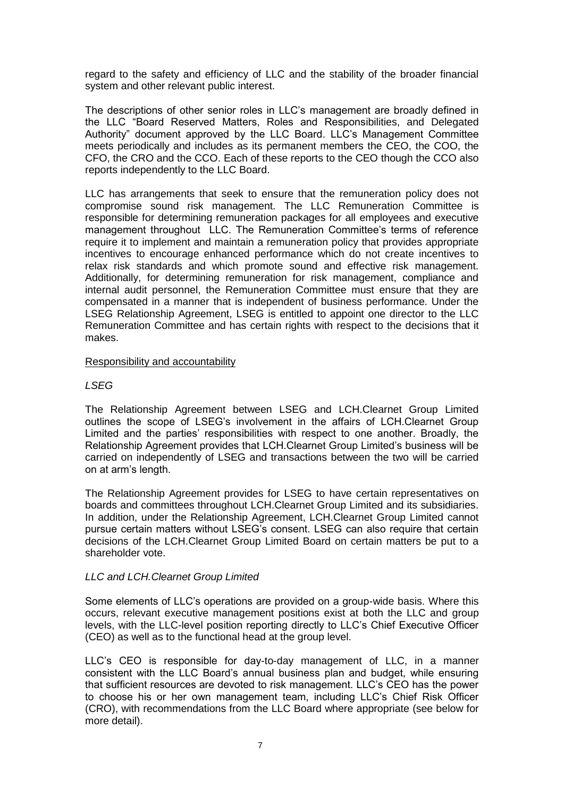regard to the safety and efficiency of LLC and the stability of the broader financial system and other relevant public interest.

The descriptions of other senior roles in LLC's management are broadly defined in the LLC "Board Reserved Matters, Roles and Responsibilities, and Delegated Authority" document approved by the LLC Board. LLC's Management Committee meets periodically and includes as its permanent members the CEO, the COO, the CFO, the CRO and the CCO. Each of these reports to the CEO though the CCO also reports independently to the LLC Board.

LLC has arrangements that seek to ensure that the remuneration policy does not compromise sound risk management. The LLC Remuneration Committee is responsible for determining remuneration packages for all employees and executive management throughout LLC. The Remuneration Committee's terms of reference require it to implement and maintain a remuneration policy that provides appropriate incentives to encourage enhanced performance which do not create incentives to relax risk standards and which promote sound and effective risk management. Additionally, for determining remuneration for risk management, compliance and internal audit personnel, the Remuneration Committee must ensure that they are compensated in a manner that is independent of business performance. Under the LSEG Relationship Agreement, LSEG is entitled to appoint one director to the LLC Remuneration Committee and has certain rights with respect to the decisions that it makes.

### Responsibility and accountability

### *LSEG*

The Relationship Agreement between LSEG and LCH.Clearnet Group Limited outlines the scope of LSEG's involvement in the affairs of LCH.Clearnet Group Limited and the parties' responsibilities with respect to one another. Broadly, the Relationship Agreement provides that LCH.Clearnet Group Limited's business will be carried on independently of LSEG and transactions between the two will be carried on at arm's length.

The Relationship Agreement provides for LSEG to have certain representatives on boards and committees throughout LCH.Clearnet Group Limited and its subsidiaries. In addition, under the Relationship Agreement, LCH.Clearnet Group Limited cannot pursue certain matters without LSEG's consent. LSEG can also require that certain decisions of the LCH.Clearnet Group Limited Board on certain matters be put to a shareholder vote.

### *LLC and LCH.Clearnet Group Limited*

Some elements of LLC's operations are provided on a group-wide basis. Where this occurs, relevant executive management positions exist at both the LLC and group levels, with the LLC-level position reporting directly to LLC's Chief Executive Officer (CEO) as well as to the functional head at the group level.

LLC's CEO is responsible for day-to-day management of LLC, in a manner consistent with the LLC Board's annual business plan and budget, while ensuring that sufficient resources are devoted to risk management. LLC's CEO has the power to choose his or her own management team, including LLC's Chief Risk Officer (CRO), with recommendations from the LLC Board where appropriate (see below for more detail).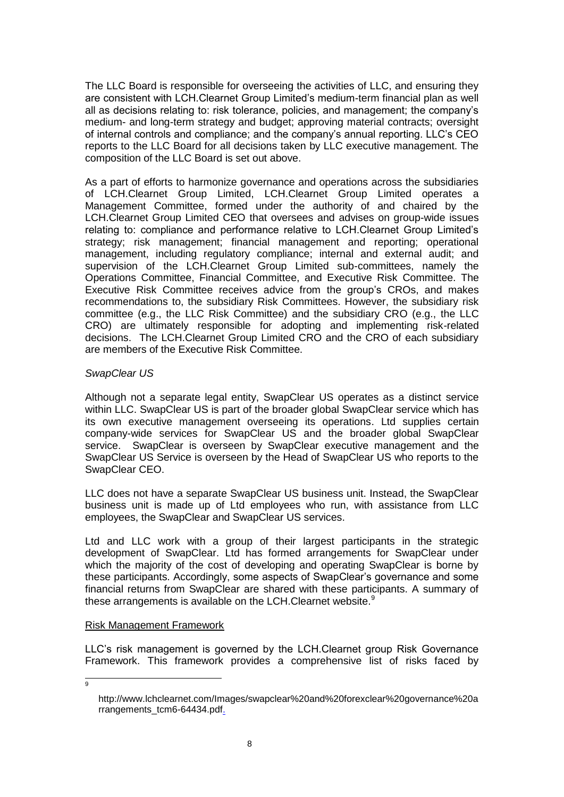The LLC Board is responsible for overseeing the activities of LLC, and ensuring they are consistent with LCH.Clearnet Group Limited's medium-term financial plan as well all as decisions relating to: risk tolerance, policies, and management; the company's medium- and long-term strategy and budget; approving material contracts; oversight of internal controls and compliance; and the company's annual reporting. LLC's CEO reports to the LLC Board for all decisions taken by LLC executive management. The composition of the LLC Board is set out above.

As a part of efforts to harmonize governance and operations across the subsidiaries of LCH.Clearnet Group Limited, LCH.Clearnet Group Limited operates a Management Committee, formed under the authority of and chaired by the LCH.Clearnet Group Limited CEO that oversees and advises on group-wide issues relating to: compliance and performance relative to LCH.Clearnet Group Limited's strategy; risk management; financial management and reporting; operational management, including regulatory compliance; internal and external audit; and supervision of the LCH.Clearnet Group Limited sub-committees, namely the Operations Committee, Financial Committee, and Executive Risk Committee. The Executive Risk Committee receives advice from the group's CROs, and makes recommendations to, the subsidiary Risk Committees. However, the subsidiary risk committee (e.g., the LLC Risk Committee) and the subsidiary CRO (e.g., the LLC CRO) are ultimately responsible for adopting and implementing risk-related decisions. The LCH.Clearnet Group Limited CRO and the CRO of each subsidiary are members of the Executive Risk Committee.

### *SwapClear US*

Although not a separate legal entity, SwapClear US operates as a distinct service within LLC. SwapClear US is part of the broader global SwapClear service which has its own executive management overseeing its operations. Ltd supplies certain company-wide services for SwapClear US and the broader global SwapClear service. SwapClear is overseen by SwapClear executive management and the SwapClear US Service is overseen by the Head of SwapClear US who reports to the SwapClear CEO.

LLC does not have a separate SwapClear US business unit. Instead, the SwapClear business unit is made up of Ltd employees who run, with assistance from LLC employees, the SwapClear and SwapClear US services.

Ltd and LLC work with a group of their largest participants in the strategic development of SwapClear. Ltd has formed arrangements for SwapClear under which the majority of the cost of developing and operating SwapClear is borne by these participants. Accordingly, some aspects of SwapClear's governance and some financial returns from SwapClear are shared with these participants. A summary of these arrangements is available on the LCH.Clearnet website.<sup>9</sup>

# Risk Management Framework

LLC's risk management is governed by the LCH.Clearnet group Risk Governance Framework. This framework provides a comprehensive list of risks faced by

9

http://www.lchclearnet.com/Images/swapclear%20and%20forexclear%20governance%20a rrangements\_tcm6-64434.pdf.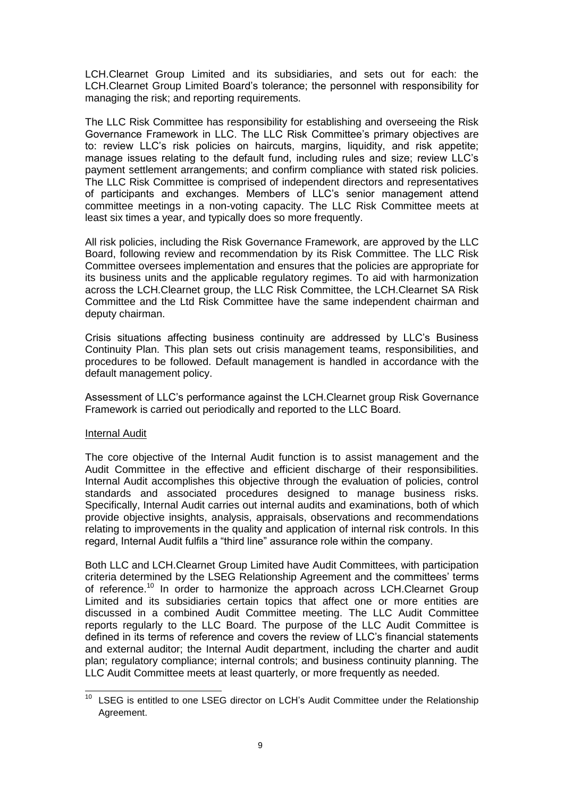LCH.Clearnet Group Limited and its subsidiaries, and sets out for each: the LCH.Clearnet Group Limited Board's tolerance; the personnel with responsibility for managing the risk; and reporting requirements.

The LLC Risk Committee has responsibility for establishing and overseeing the Risk Governance Framework in LLC. The LLC Risk Committee's primary objectives are to: review LLC's risk policies on haircuts, margins, liquidity, and risk appetite; manage issues relating to the default fund, including rules and size; review LLC's payment settlement arrangements; and confirm compliance with stated risk policies. The LLC Risk Committee is comprised of independent directors and representatives of participants and exchanges. Members of LLC's senior management attend committee meetings in a non-voting capacity. The LLC Risk Committee meets at least six times a year, and typically does so more frequently.

All risk policies, including the Risk Governance Framework, are approved by the LLC Board, following review and recommendation by its Risk Committee. The LLC Risk Committee oversees implementation and ensures that the policies are appropriate for its business units and the applicable regulatory regimes. To aid with harmonization across the LCH.Clearnet group, the LLC Risk Committee, the LCH.Clearnet SA Risk Committee and the Ltd Risk Committee have the same independent chairman and deputy chairman.

Crisis situations affecting business continuity are addressed by LLC's Business Continuity Plan. This plan sets out crisis management teams, responsibilities, and procedures to be followed. Default management is handled in accordance with the default management policy.

Assessment of LLC's performance against the LCH.Clearnet group Risk Governance Framework is carried out periodically and reported to the LLC Board.

### Internal Audit

The core objective of the Internal Audit function is to assist management and the Audit Committee in the effective and efficient discharge of their responsibilities. Internal Audit accomplishes this objective through the evaluation of policies, control standards and associated procedures designed to manage business risks. Specifically, Internal Audit carries out internal audits and examinations, both of which provide objective insights, analysis, appraisals, observations and recommendations relating to improvements in the quality and application of internal risk controls. In this regard, Internal Audit fulfils a "third line" assurance role within the company.

Both LLC and LCH.Clearnet Group Limited have Audit Committees, with participation criteria determined by the LSEG Relationship Agreement and the committees' terms of reference.<sup>10</sup> In order to harmonize the approach across LCH.Clearnet Group Limited and its subsidiaries certain topics that affect one or more entities are discussed in a combined Audit Committee meeting. The LLC Audit Committee reports regularly to the LLC Board. The purpose of the LLC Audit Committee is defined in its terms of reference and covers the review of LLC's financial statements and external auditor; the Internal Audit department, including the charter and audit plan; regulatory compliance; internal controls; and business continuity planning. The LLC Audit Committee meets at least quarterly, or more frequently as needed.

l  $10$  LSEG is entitled to one LSEG director on LCH's Audit Committee under the Relationship Agreement.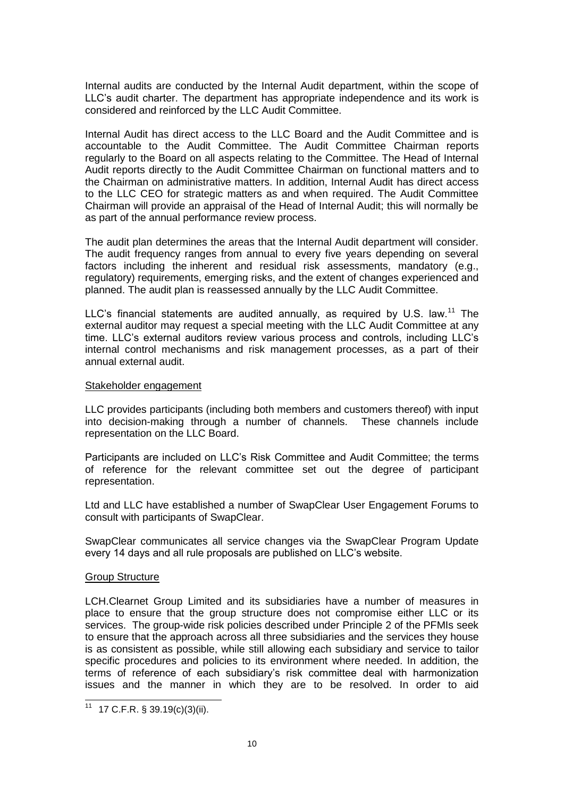Internal audits are conducted by the Internal Audit department, within the scope of LLC's audit charter. The department has appropriate independence and its work is considered and reinforced by the LLC Audit Committee.

Internal Audit has direct access to the LLC Board and the Audit Committee and is accountable to the Audit Committee. The Audit Committee Chairman reports regularly to the Board on all aspects relating to the Committee. The Head of Internal Audit reports directly to the Audit Committee Chairman on functional matters and to the Chairman on administrative matters. In addition, Internal Audit has direct access to the LLC CEO for strategic matters as and when required. The Audit Committee Chairman will provide an appraisal of the Head of Internal Audit; this will normally be as part of the annual performance review process.

The audit plan determines the areas that the Internal Audit department will consider. The audit frequency ranges from annual to every five years depending on several factors including the inherent and residual risk assessments, mandatory (e.g., regulatory) requirements, emerging risks, and the extent of changes experienced and planned. The audit plan is reassessed annually by the LLC Audit Committee.

LLC's financial statements are audited annually, as required by U.S. law.<sup>11</sup> The external auditor may request a special meeting with the LLC Audit Committee at any time. LLC's external auditors review various process and controls, including LLC's internal control mechanisms and risk management processes, as a part of their annual external audit.

### Stakeholder engagement

LLC provides participants (including both members and customers thereof) with input into decision-making through a number of channels. These channels include representation on the LLC Board.

Participants are included on LLC's Risk Committee and Audit Committee; the terms of reference for the relevant committee set out the degree of participant representation.

Ltd and LLC have established a number of SwapClear User Engagement Forums to consult with participants of SwapClear.

SwapClear communicates all service changes via the SwapClear Program Update every 14 days and all rule proposals are published on LLC's website.

### Group Structure

l

LCH.Clearnet Group Limited and its subsidiaries have a number of measures in place to ensure that the group structure does not compromise either LLC or its services. The group-wide risk policies described under Principle 2 of the PFMIs seek to ensure that the approach across all three subsidiaries and the services they house is as consistent as possible, while still allowing each subsidiary and service to tailor specific procedures and policies to its environment where needed. In addition, the terms of reference of each subsidiary's risk committee deal with harmonization issues and the manner in which they are to be resolved. In order to aid

 $11$  17 C.F.R. § 39.19(c)(3)(ii).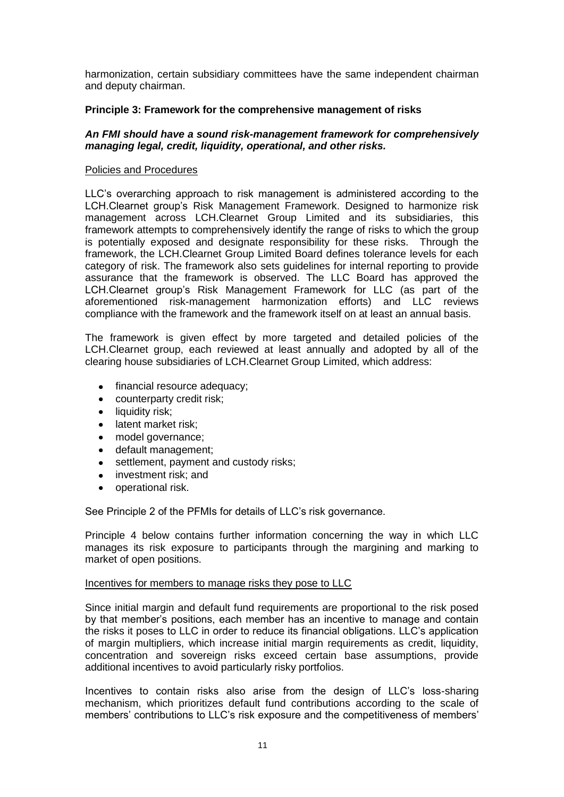harmonization, certain subsidiary committees have the same independent chairman and deputy chairman.

## **Principle 3: Framework for the comprehensive management of risks**

## *An FMI should have a sound risk-management framework for comprehensively managing legal, credit, liquidity, operational, and other risks.*

### Policies and Procedures

LLC's overarching approach to risk management is administered according to the LCH.Clearnet group's Risk Management Framework. Designed to harmonize risk management across LCH.Clearnet Group Limited and its subsidiaries, this framework attempts to comprehensively identify the range of risks to which the group is potentially exposed and designate responsibility for these risks. Through the framework, the LCH.Clearnet Group Limited Board defines tolerance levels for each category of risk. The framework also sets guidelines for internal reporting to provide assurance that the framework is observed. The LLC Board has approved the LCH.Clearnet group's Risk Management Framework for LLC (as part of the aforementioned risk-management harmonization efforts) and LLC reviews compliance with the framework and the framework itself on at least an annual basis.

The framework is given effect by more targeted and detailed policies of the LCH.Clearnet group, each reviewed at least annually and adopted by all of the clearing house subsidiaries of LCH.Clearnet Group Limited, which address:

- financial resource adequacy;
- counterparty credit risk;
- $\bullet$  liquidity risk:
- latent market risk:
- model governance;
- default management;
- settlement, payment and custody risks;
- $\bullet$ investment risk; and
- operational risk.

See Principle 2 of the PFMIs for details of LLC's risk governance.

Principle 4 below contains further information concerning the way in which LLC manages its risk exposure to participants through the margining and marking to market of open positions.

### Incentives for members to manage risks they pose to LLC

Since initial margin and default fund requirements are proportional to the risk posed by that member's positions, each member has an incentive to manage and contain the risks it poses to LLC in order to reduce its financial obligations. LLC's application of margin multipliers, which increase initial margin requirements as credit, liquidity, concentration and sovereign risks exceed certain base assumptions, provide additional incentives to avoid particularly risky portfolios.

Incentives to contain risks also arise from the design of LLC's loss-sharing mechanism, which prioritizes default fund contributions according to the scale of members' contributions to LLC's risk exposure and the competitiveness of members'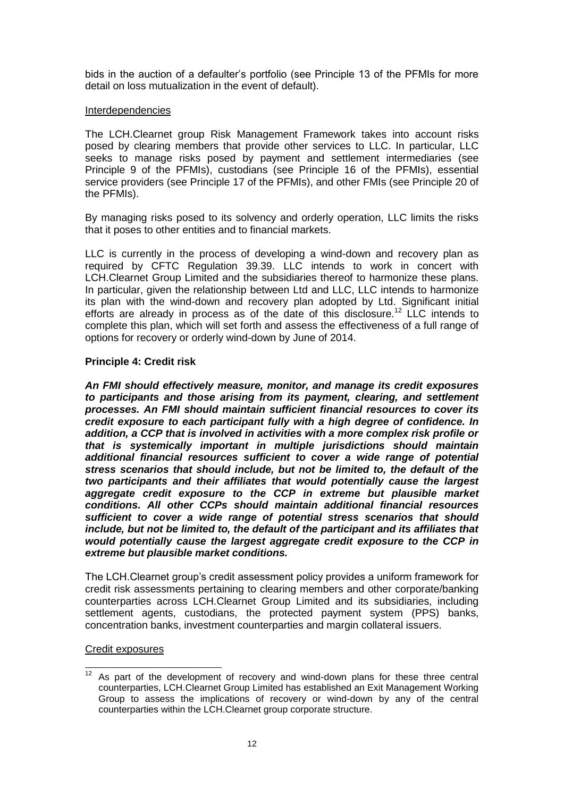bids in the auction of a defaulter's portfolio (see Principle 13 of the PFMIs for more detail on loss mutualization in the event of default).

### Interdependencies

The LCH.Clearnet group Risk Management Framework takes into account risks posed by clearing members that provide other services to LLC. In particular, LLC seeks to manage risks posed by payment and settlement intermediaries (see Principle 9 of the PFMIs), custodians (see Principle 16 of the PFMIs), essential service providers (see Principle 17 of the PFMIs), and other FMIs (see Principle 20 of the PFMIs).

By managing risks posed to its solvency and orderly operation, LLC limits the risks that it poses to other entities and to financial markets.

LLC is currently in the process of developing a wind-down and recovery plan as required by CFTC Regulation 39.39. LLC intends to work in concert with LCH.Clearnet Group Limited and the subsidiaries thereof to harmonize these plans. In particular, given the relationship between Ltd and LLC, LLC intends to harmonize its plan with the wind-down and recovery plan adopted by Ltd. Significant initial efforts are already in process as of the date of this disclosure.<sup>12</sup> LLC intends to complete this plan, which will set forth and assess the effectiveness of a full range of options for recovery or orderly wind-down by June of 2014.

# **Principle 4: Credit risk**

*An FMI should effectively measure, monitor, and manage its credit exposures to participants and those arising from its payment, clearing, and settlement processes. An FMI should maintain sufficient financial resources to cover its credit exposure to each participant fully with a high degree of confidence. In addition, a CCP that is involved in activities with a more complex risk profile or that is systemically important in multiple jurisdictions should maintain additional financial resources sufficient to cover a wide range of potential stress scenarios that should include, but not be limited to, the default of the two participants and their affiliates that would potentially cause the largest aggregate credit exposure to the CCP in extreme but plausible market conditions. All other CCPs should maintain additional financial resources sufficient to cover a wide range of potential stress scenarios that should include, but not be limited to, the default of the participant and its affiliates that would potentially cause the largest aggregate credit exposure to the CCP in extreme but plausible market conditions.* 

The LCH.Clearnet group's credit assessment policy provides a uniform framework for credit risk assessments pertaining to clearing members and other corporate/banking counterparties across LCH.Clearnet Group Limited and its subsidiaries, including settlement agents, custodians, the protected payment system (PPS) banks, concentration banks, investment counterparties and margin collateral issuers.

### Credit exposures

l  $12$  As part of the development of recovery and wind-down plans for these three central counterparties, LCH.Clearnet Group Limited has established an Exit Management Working Group to assess the implications of recovery or wind-down by any of the central counterparties within the LCH.Clearnet group corporate structure.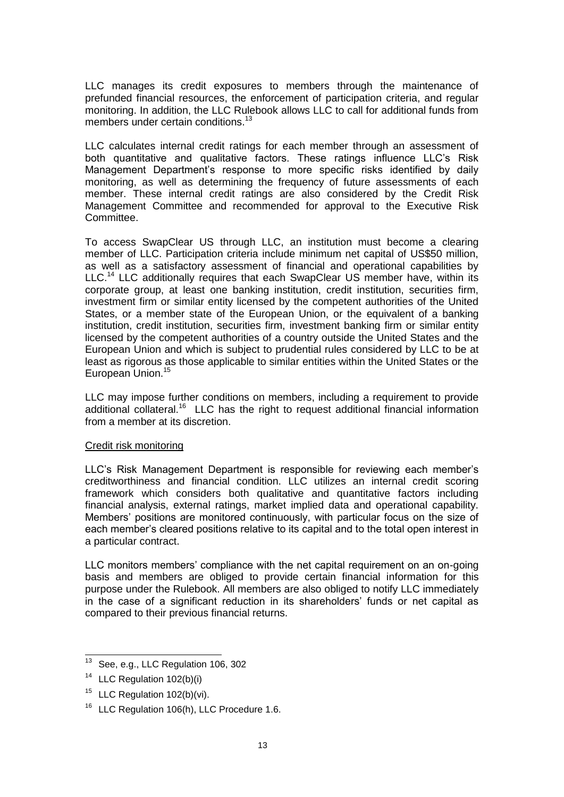LLC manages its credit exposures to members through the maintenance of prefunded financial resources, the enforcement of participation criteria, and regular monitoring. In addition, the LLC Rulebook allows LLC to call for additional funds from members under certain conditions.<sup>13</sup>

LLC calculates internal credit ratings for each member through an assessment of both quantitative and qualitative factors. These ratings influence LLC's Risk Management Department's response to more specific risks identified by daily monitoring, as well as determining the frequency of future assessments of each member. These internal credit ratings are also considered by the Credit Risk Management Committee and recommended for approval to the Executive Risk Committee.

To access SwapClear US through LLC, an institution must become a clearing member of LLC. Participation criteria include minimum net capital of US\$50 million, as well as a satisfactory assessment of financial and operational capabilities by LLC.<sup>14</sup> LLC additionally requires that each SwapClear US member have, within its corporate group, at least one banking institution, credit institution, securities firm, investment firm or similar entity licensed by the competent authorities of the United States, or a member state of the European Union, or the equivalent of a banking institution, credit institution, securities firm, investment banking firm or similar entity licensed by the competent authorities of a country outside the United States and the European Union and which is subject to prudential rules considered by LLC to be at least as rigorous as those applicable to similar entities within the United States or the European Union.<sup>15</sup>

LLC may impose further conditions on members, including a requirement to provide additional collateral.<sup>16</sup> LLC has the right to request additional financial information from a member at its discretion.

# Credit risk monitoring

LLC's Risk Management Department is responsible for reviewing each member's creditworthiness and financial condition. LLC utilizes an internal credit scoring framework which considers both qualitative and quantitative factors including financial analysis, external ratings, market implied data and operational capability. Members' positions are monitored continuously, with particular focus on the size of each member's cleared positions relative to its capital and to the total open interest in a particular contract.

LLC monitors members' compliance with the net capital requirement on an on-going basis and members are obliged to provide certain financial information for this purpose under the Rulebook. All members are also obliged to notify LLC immediately in the case of a significant reduction in its shareholders' funds or net capital as compared to their previous financial returns.

l  $13$  See, e.g., LLC Regulation 106, 302

<sup>&</sup>lt;sup>14</sup> LLC Regulation 102(b)(i)

<sup>&</sup>lt;sup>15</sup> LLC Regulation 102(b)(vi).

<sup>&</sup>lt;sup>16</sup> LLC Regulation 106(h), LLC Procedure 1.6.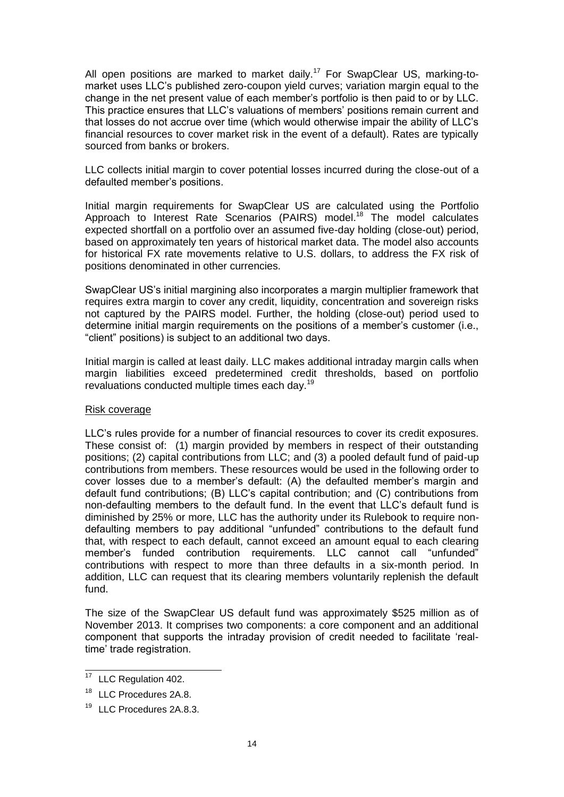All open positions are marked to market daily.<sup>17</sup> For SwapClear US, marking-tomarket uses LLC's published zero-coupon yield curves; variation margin equal to the change in the net present value of each member's portfolio is then paid to or by LLC. This practice ensures that LLC's valuations of members' positions remain current and that losses do not accrue over time (which would otherwise impair the ability of LLC's financial resources to cover market risk in the event of a default). Rates are typically sourced from banks or brokers.

LLC collects initial margin to cover potential losses incurred during the close-out of a defaulted member's positions.

Initial margin requirements for SwapClear US are calculated using the Portfolio Approach to Interest Rate Scenarios (PAIRS) model.<sup>18</sup> The model calculates expected shortfall on a portfolio over an assumed five-day holding (close-out) period, based on approximately ten years of historical market data. The model also accounts for historical FX rate movements relative to U.S. dollars, to address the FX risk of positions denominated in other currencies.

SwapClear US's initial margining also incorporates a margin multiplier framework that requires extra margin to cover any credit, liquidity, concentration and sovereign risks not captured by the PAIRS model. Further, the holding (close-out) period used to determine initial margin requirements on the positions of a member's customer (i.e., "client" positions) is subject to an additional two days.

Initial margin is called at least daily. LLC makes additional intraday margin calls when margin liabilities exceed predetermined credit thresholds, based on portfolio revaluations conducted multiple times each day.<sup>19</sup>

### Risk coverage

LLC's rules provide for a number of financial resources to cover its credit exposures. These consist of: (1) margin provided by members in respect of their outstanding positions; (2) capital contributions from LLC; and (3) a pooled default fund of paid-up contributions from members. These resources would be used in the following order to cover losses due to a member's default: (A) the defaulted member's margin and default fund contributions; (B) LLC's capital contribution; and (C) contributions from non-defaulting members to the default fund. In the event that LLC's default fund is diminished by 25% or more, LLC has the authority under its Rulebook to require nondefaulting members to pay additional "unfunded" contributions to the default fund that, with respect to each default, cannot exceed an amount equal to each clearing member's funded contribution requirements. LLC cannot call "unfunded" contributions with respect to more than three defaults in a six-month period. In addition, LLC can request that its clearing members voluntarily replenish the default fund.

The size of the SwapClear US default fund was approximately \$525 million as of November 2013. It comprises two components: a core component and an additional component that supports the intraday provision of credit needed to facilitate 'realtime' trade registration.

 $17\,$ LLC Regulation 402.

<sup>&</sup>lt;sup>18</sup> LLC Procedures 2A.8.

<sup>&</sup>lt;sup>19</sup> LLC Procedures 2A.8.3.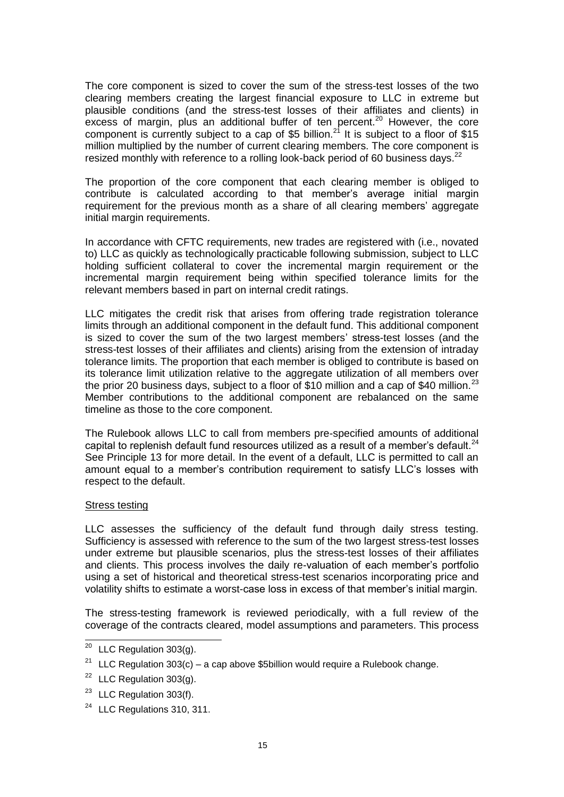The core component is sized to cover the sum of the stress-test losses of the two clearing members creating the largest financial exposure to LLC in extreme but plausible conditions (and the stress-test losses of their affiliates and clients) in excess of margin, plus an additional buffer of ten percent.<sup>20</sup> However, the core component is currently subject to a cap of \$5 billion.<sup>21</sup> It is subject to a floor of \$15 million multiplied by the number of current clearing members. The core component is resized monthly with reference to a rolling look-back period of 60 business days.<sup>22</sup>

The proportion of the core component that each clearing member is obliged to contribute is calculated according to that member's average initial margin requirement for the previous month as a share of all clearing members' aggregate initial margin requirements.

In accordance with CFTC requirements, new trades are registered with (i.e., novated to) LLC as quickly as technologically practicable following submission, subject to LLC holding sufficient collateral to cover the incremental margin requirement or the incremental margin requirement being within specified tolerance limits for the relevant members based in part on internal credit ratings.

LLC mitigates the credit risk that arises from offering trade registration tolerance limits through an additional component in the default fund. This additional component is sized to cover the sum of the two largest members' stress-test losses (and the stress-test losses of their affiliates and clients) arising from the extension of intraday tolerance limits. The proportion that each member is obliged to contribute is based on its tolerance limit utilization relative to the aggregate utilization of all members over the prior 20 business days, subject to a floor of \$10 million and a cap of \$40 million.<sup>23</sup> Member contributions to the additional component are rebalanced on the same timeline as those to the core component.

The Rulebook allows LLC to call from members pre-specified amounts of additional capital to replenish default fund resources utilized as a result of a member's default. $^{24}$ See Principle 13 for more detail. In the event of a default, LLC is permitted to call an amount equal to a member's contribution requirement to satisfy LLC's losses with respect to the default.

### Stress testing

LLC assesses the sufficiency of the default fund through daily stress testing. Sufficiency is assessed with reference to the sum of the two largest stress-test losses under extreme but plausible scenarios, plus the stress-test losses of their affiliates and clients. This process involves the daily re-valuation of each member's portfolio using a set of historical and theoretical stress-test scenarios incorporating price and volatility shifts to estimate a worst-case loss in excess of that member's initial margin.

The stress-testing framework is reviewed periodically, with a full review of the coverage of the contracts cleared, model assumptions and parameters. This process

 $\overline{a}$ 

 $^{20}$  LLC Regulation 303(g).

<sup>&</sup>lt;sup>21</sup> LLC Regulation  $303(c)$  – a cap above \$5billion would require a Rulebook change.

<sup>&</sup>lt;sup>22</sup> LLC Regulation  $303(q)$ .

 $23$  LLC Regulation 303(f).

<sup>&</sup>lt;sup>24</sup> LLC Regulations 310, 311.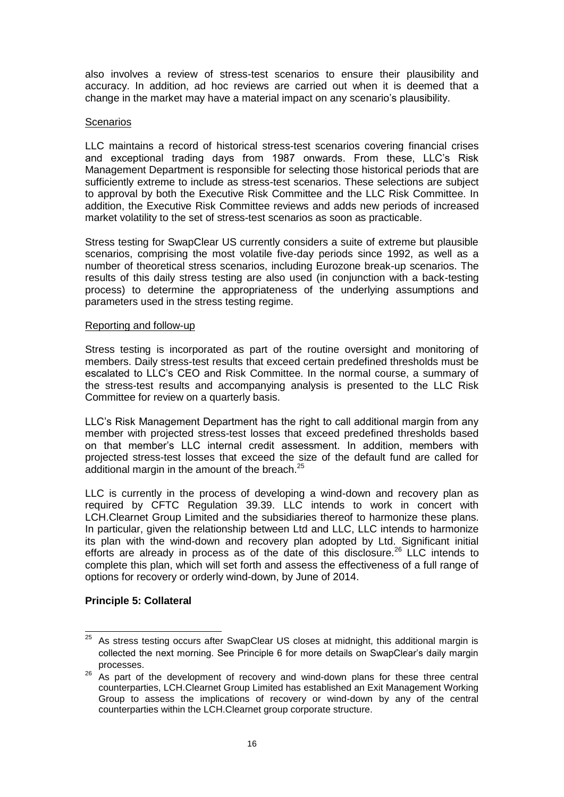also involves a review of stress-test scenarios to ensure their plausibility and accuracy. In addition, ad hoc reviews are carried out when it is deemed that a change in the market may have a material impact on any scenario's plausibility.

### **Scenarios**

LLC maintains a record of historical stress-test scenarios covering financial crises and exceptional trading days from 1987 onwards. From these, LLC's Risk Management Department is responsible for selecting those historical periods that are sufficiently extreme to include as stress-test scenarios. These selections are subject to approval by both the Executive Risk Committee and the LLC Risk Committee. In addition, the Executive Risk Committee reviews and adds new periods of increased market volatility to the set of stress-test scenarios as soon as practicable.

Stress testing for SwapClear US currently considers a suite of extreme but plausible scenarios, comprising the most volatile five-day periods since 1992, as well as a number of theoretical stress scenarios, including Eurozone break-up scenarios. The results of this daily stress testing are also used (in conjunction with a back-testing process) to determine the appropriateness of the underlying assumptions and parameters used in the stress testing regime.

### Reporting and follow-up

Stress testing is incorporated as part of the routine oversight and monitoring of members. Daily stress-test results that exceed certain predefined thresholds must be escalated to LLC's CEO and Risk Committee. In the normal course, a summary of the stress-test results and accompanying analysis is presented to the LLC Risk Committee for review on a quarterly basis.

LLC's Risk Management Department has the right to call additional margin from any member with projected stress-test losses that exceed predefined thresholds based on that member's LLC internal credit assessment. In addition, members with projected stress-test losses that exceed the size of the default fund are called for additional margin in the amount of the breach. $25$ 

LLC is currently in the process of developing a wind-down and recovery plan as required by CFTC Regulation 39.39. LLC intends to work in concert with LCH.Clearnet Group Limited and the subsidiaries thereof to harmonize these plans. In particular, given the relationship between Ltd and LLC, LLC intends to harmonize its plan with the wind-down and recovery plan adopted by Ltd. Significant initial efforts are already in process as of the date of this disclosure.<sup>26</sup> LLC intends to complete this plan, which will set forth and assess the effectiveness of a full range of options for recovery or orderly wind-down, by June of 2014.

# **Principle 5: Collateral**

<sup>25</sup> As stress testing occurs after SwapClear US closes at midnight, this additional margin is collected the next morning. See Principle 6 for more details on SwapClear's daily margin processes.

<sup>26</sup> As part of the development of recovery and wind-down plans for these three central counterparties, LCH.Clearnet Group Limited has established an Exit Management Working Group to assess the implications of recovery or wind-down by any of the central counterparties within the LCH.Clearnet group corporate structure.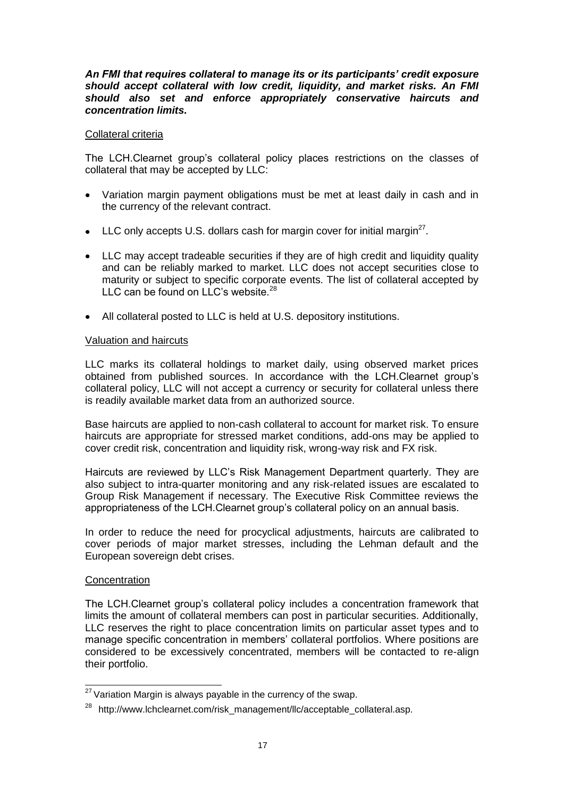### *An FMI that requires collateral to manage its or its participants' credit exposure should accept collateral with low credit, liquidity, and market risks. An FMI should also set and enforce appropriately conservative haircuts and concentration limits.*

## Collateral criteria

The LCH.Clearnet group's collateral policy places restrictions on the classes of collateral that may be accepted by LLC:

- Variation margin payment obligations must be met at least daily in cash and in  $\bullet$ the currency of the relevant contract.
- LLC only accepts U.S. dollars cash for margin cover for initial margin<sup>27</sup>.
- LLC may accept tradeable securities if they are of high credit and liquidity quality and can be reliably marked to market. LLC does not accept securities close to maturity or subject to specific corporate events. The list of collateral accepted by LLC can be found on LLC's website. $28$
- All collateral posted to LLC is held at U.S. depository institutions.

### Valuation and haircuts

LLC marks its collateral holdings to market daily, using observed market prices obtained from published sources. In accordance with the LCH.Clearnet group's collateral policy, LLC will not accept a currency or security for collateral unless there is readily available market data from an authorized source.

Base haircuts are applied to non-cash collateral to account for market risk. To ensure haircuts are appropriate for stressed market conditions, add-ons may be applied to cover credit risk, concentration and liquidity risk, wrong-way risk and FX risk.

Haircuts are reviewed by LLC's Risk Management Department quarterly. They are also subject to intra-quarter monitoring and any risk-related issues are escalated to Group Risk Management if necessary. The Executive Risk Committee reviews the appropriateness of the LCH.Clearnet group's collateral policy on an annual basis.

In order to reduce the need for procyclical adjustments, haircuts are calibrated to cover periods of major market stresses, including the Lehman default and the European sovereign debt crises.

### **Concentration**

 $\overline{a}$ 

The LCH.Clearnet group's collateral policy includes a concentration framework that limits the amount of collateral members can post in particular securities. Additionally, LLC reserves the right to place concentration limits on particular asset types and to manage specific concentration in members' collateral portfolios. Where positions are considered to be excessively concentrated, members will be contacted to re-align their portfolio.

 $27$  Variation Margin is always payable in the currency of the swap.

<sup>&</sup>lt;sup>28</sup> http://www.lchclearnet.com/risk\_management/llc/acceptable\_collateral.asp.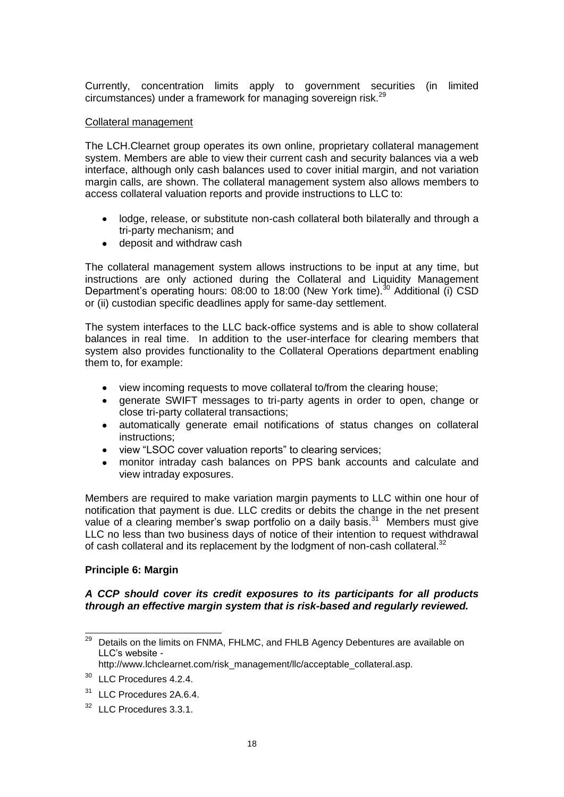Currently, concentration limits apply to government securities (in limited circumstances) under a framework for managing sovereign risk.<sup>29</sup>

### Collateral management

The LCH.Clearnet group operates its own online, proprietary collateral management system. Members are able to view their current cash and security balances via a web interface, although only cash balances used to cover initial margin, and not variation margin calls, are shown. The collateral management system also allows members to access collateral valuation reports and provide instructions to LLC to:

- lodge, release, or substitute non-cash collateral both bilaterally and through a  $\bullet$ tri-party mechanism; and
- deposit and withdraw cash

The collateral management system allows instructions to be input at any time, but instructions are only actioned during the Collateral and Liquidity Management Department's operating hours:  $08:00$  to 18:00 (New York time).<sup>30</sup> Additional (i) CSD or (ii) custodian specific deadlines apply for same-day settlement.

The system interfaces to the LLC back-office systems and is able to show collateral balances in real time. In addition to the user-interface for clearing members that system also provides functionality to the Collateral Operations department enabling them to, for example:

- view incoming requests to move collateral to/from the clearing house;  $\bullet$
- generate SWIFT messages to tri-party agents in order to open, change or close tri-party collateral transactions;
- automatically generate email notifications of status changes on collateral  $\bullet$ instructions;
- $\bullet$ view "LSOC cover valuation reports" to clearing services;
- $\bullet$ monitor intraday cash balances on PPS bank accounts and calculate and view intraday exposures.

Members are required to make variation margin payments to LLC within one hour of notification that payment is due. LLC credits or debits the change in the net present value of a clearing member's swap portfolio on a daily basis.<sup>31</sup> Members must give LLC no less than two business days of notice of their intention to request withdrawal of cash collateral and its replacement by the lodgment of non-cash collateral.<sup>32</sup>

# **Principle 6: Margin**

# *A CCP should cover its credit exposures to its participants for all products through an effective margin system that is risk-based and regularly reviewed.*

<sup>29</sup> Details on the limits on FNMA, FHLMC, and FHLB Agency Debentures are available on LLC's website *-*

http://www.lchclearnet.com/risk\_management/llc/acceptable\_collateral.asp.

<sup>&</sup>lt;sup>30</sup> LLC Procedures 4.2.4.

<sup>&</sup>lt;sup>31</sup> LLC Procedures 2A.6.4.

<sup>&</sup>lt;sup>32</sup> LLC Procedures 3.3.1.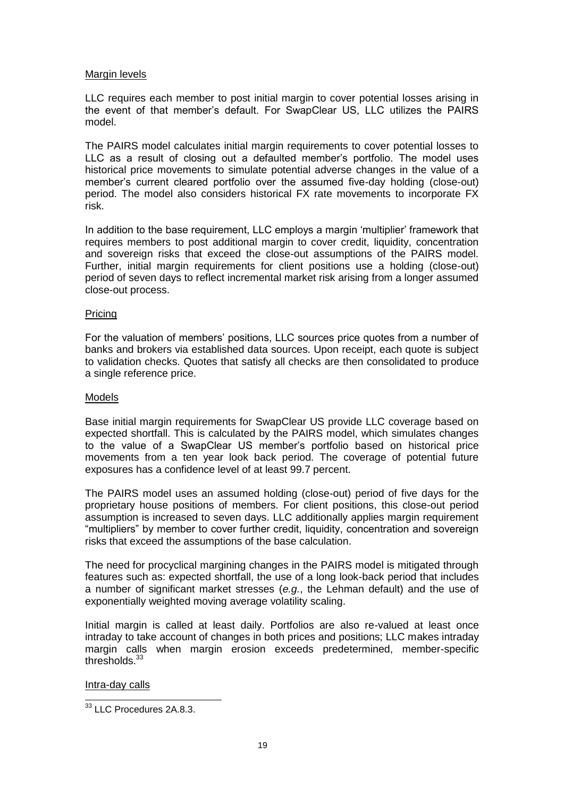### Margin levels

LLC requires each member to post initial margin to cover potential losses arising in the event of that member's default. For SwapClear US, LLC utilizes the PAIRS model.

The PAIRS model calculates initial margin requirements to cover potential losses to LLC as a result of closing out a defaulted member's portfolio. The model uses historical price movements to simulate potential adverse changes in the value of a member's current cleared portfolio over the assumed five-day holding (close-out) period. The model also considers historical FX rate movements to incorporate FX risk.

In addition to the base requirement, LLC employs a margin 'multiplier' framework that requires members to post additional margin to cover credit, liquidity, concentration and sovereign risks that exceed the close-out assumptions of the PAIRS model. Further, initial margin requirements for client positions use a holding (close-out) period of seven days to reflect incremental market risk arising from a longer assumed close-out process.

# Pricing

For the valuation of members' positions, LLC sources price quotes from a number of banks and brokers via established data sources. Upon receipt, each quote is subject to validation checks. Quotes that satisfy all checks are then consolidated to produce a single reference price.

### Models

Base initial margin requirements for SwapClear US provide LLC coverage based on expected shortfall. This is calculated by the PAIRS model, which simulates changes to the value of a SwapClear US member's portfolio based on historical price movements from a ten year look back period. The coverage of potential future exposures has a confidence level of at least 99.7 percent.

The PAIRS model uses an assumed holding (close-out) period of five days for the proprietary house positions of members. For client positions, this close-out period assumption is increased to seven days. LLC additionally applies margin requirement "multipliers" by member to cover further credit, liquidity, concentration and sovereign risks that exceed the assumptions of the base calculation.

The need for procyclical margining changes in the PAIRS model is mitigated through features such as: expected shortfall, the use of a long look-back period that includes a number of significant market stresses (*e.g.*, the Lehman default) and the use of exponentially weighted moving average volatility scaling.

Initial margin is called at least daily. Portfolios are also re-valued at least once intraday to take account of changes in both prices and positions; LLC makes intraday margin calls when margin erosion exceeds predetermined, member-specific thresholds. $33$ 

Intra-day calls

 $\overline{a}$  $33$  LLC Procedures 2A.8.3.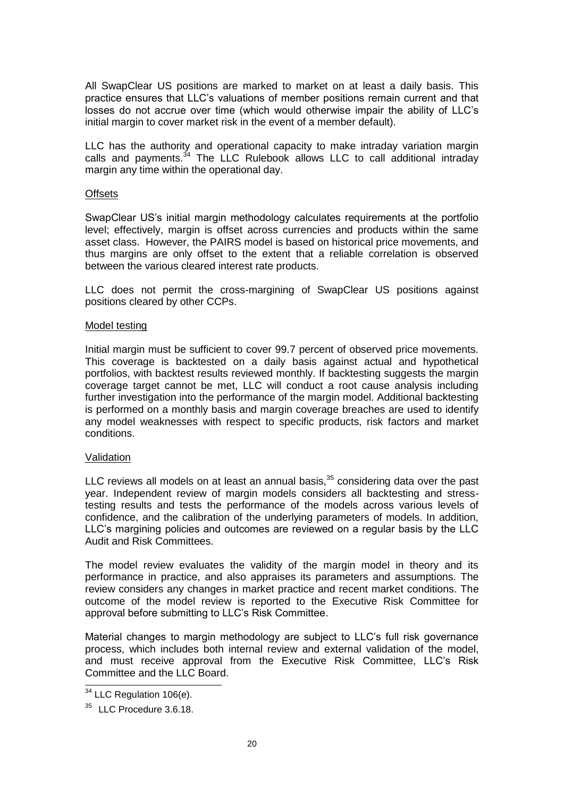All SwapClear US positions are marked to market on at least a daily basis. This practice ensures that LLC's valuations of member positions remain current and that losses do not accrue over time (which would otherwise impair the ability of LLC's initial margin to cover market risk in the event of a member default).

LLC has the authority and operational capacity to make intraday variation margin calls and payments. $34$  The LLC Rulebook allows LLC to call additional intraday margin any time within the operational day.

### **Offsets**

SwapClear US's initial margin methodology calculates requirements at the portfolio level; effectively, margin is offset across currencies and products within the same asset class. However, the PAIRS model is based on historical price movements, and thus margins are only offset to the extent that a reliable correlation is observed between the various cleared interest rate products.

LLC does not permit the cross-margining of SwapClear US positions against positions cleared by other CCPs.

### Model testing

Initial margin must be sufficient to cover 99.7 percent of observed price movements. This coverage is backtested on a daily basis against actual and hypothetical portfolios, with backtest results reviewed monthly. If backtesting suggests the margin coverage target cannot be met, LLC will conduct a root cause analysis including further investigation into the performance of the margin model. Additional backtesting is performed on a monthly basis and margin coverage breaches are used to identify any model weaknesses with respect to specific products, risk factors and market conditions.

### Validation

LLC reviews all models on at least an annual basis, $35$  considering data over the past year. Independent review of margin models considers all backtesting and stresstesting results and tests the performance of the models across various levels of confidence, and the calibration of the underlying parameters of models. In addition, LLC's margining policies and outcomes are reviewed on a regular basis by the LLC Audit and Risk Committees.

The model review evaluates the validity of the margin model in theory and its performance in practice, and also appraises its parameters and assumptions. The review considers any changes in market practice and recent market conditions. The outcome of the model review is reported to the Executive Risk Committee for approval before submitting to LLC's Risk Committee.

Material changes to margin methodology are subject to LLC's full risk governance process, which includes both internal review and external validation of the model, and must receive approval from the Executive Risk Committee, LLC's Risk Committee and the LLC Board.

 $\overline{a}$ 

 $34$  LLC Regulation 106(e).

<sup>&</sup>lt;sup>35</sup> LLC Procedure 3.6.18.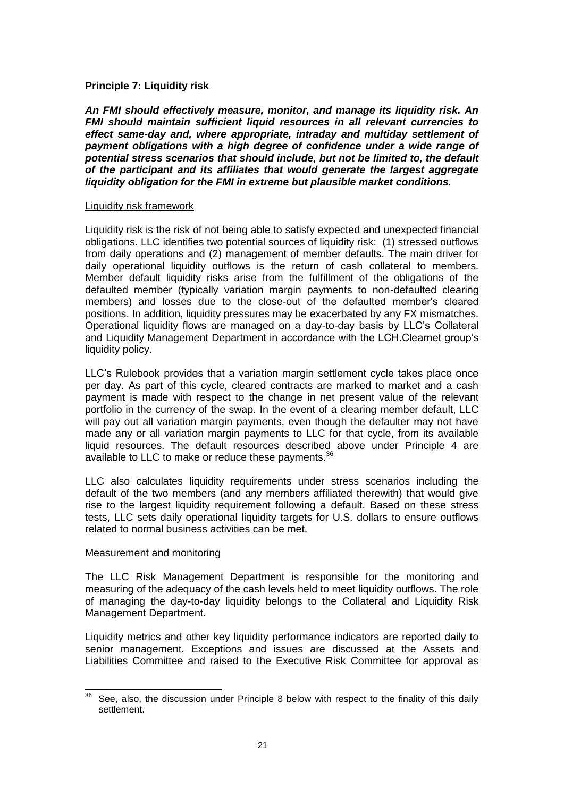### **Principle 7: Liquidity risk**

*An FMI should effectively measure, monitor, and manage its liquidity risk. An FMI should maintain sufficient liquid resources in all relevant currencies to effect same-day and, where appropriate, intraday and multiday settlement of payment obligations with a high degree of confidence under a wide range of potential stress scenarios that should include, but not be limited to, the default of the participant and its affiliates that would generate the largest aggregate liquidity obligation for the FMI in extreme but plausible market conditions.* 

### Liquidity risk framework

Liquidity risk is the risk of not being able to satisfy expected and unexpected financial obligations. LLC identifies two potential sources of liquidity risk: (1) stressed outflows from daily operations and (2) management of member defaults. The main driver for daily operational liquidity outflows is the return of cash collateral to members. Member default liquidity risks arise from the fulfillment of the obligations of the defaulted member (typically variation margin payments to non-defaulted clearing members) and losses due to the close-out of the defaulted member's cleared positions. In addition, liquidity pressures may be exacerbated by any FX mismatches. Operational liquidity flows are managed on a day-to-day basis by LLC's Collateral and Liquidity Management Department in accordance with the LCH.Clearnet group's liquidity policy.

LLC's Rulebook provides that a variation margin settlement cycle takes place once per day. As part of this cycle, cleared contracts are marked to market and a cash payment is made with respect to the change in net present value of the relevant portfolio in the currency of the swap. In the event of a clearing member default, LLC will pay out all variation margin payments, even though the defaulter may not have made any or all variation margin payments to LLC for that cycle, from its available liquid resources. The default resources described above under Principle 4 are available to LLC to make or reduce these payments.<sup>36</sup>

LLC also calculates liquidity requirements under stress scenarios including the default of the two members (and any members affiliated therewith) that would give rise to the largest liquidity requirement following a default. Based on these stress tests, LLC sets daily operational liquidity targets for U.S. dollars to ensure outflows related to normal business activities can be met.

### Measurement and monitoring

The LLC Risk Management Department is responsible for the monitoring and measuring of the adequacy of the cash levels held to meet liquidity outflows. The role of managing the day-to-day liquidity belongs to the Collateral and Liquidity Risk Management Department.

Liquidity metrics and other key liquidity performance indicators are reported daily to senior management. Exceptions and issues are discussed at the Assets and Liabilities Committee and raised to the Executive Risk Committee for approval as

 $\overline{a}$  $36$  See, also, the discussion under Principle 8 below with respect to the finality of this daily settlement.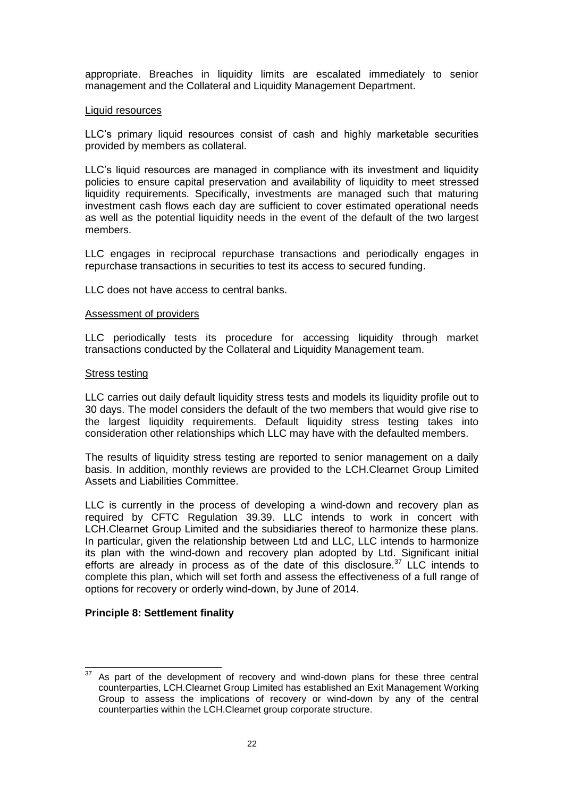appropriate. Breaches in liquidity limits are escalated immediately to senior management and the Collateral and Liquidity Management Department.

#### Liquid resources

LLC's primary liquid resources consist of cash and highly marketable securities provided by members as collateral.

LLC's liquid resources are managed in compliance with its investment and liquidity policies to ensure capital preservation and availability of liquidity to meet stressed liquidity requirements. Specifically, investments are managed such that maturing investment cash flows each day are sufficient to cover estimated operational needs as well as the potential liquidity needs in the event of the default of the two largest members.

LLC engages in reciprocal repurchase transactions and periodically engages in repurchase transactions in securities to test its access to secured funding.

LLC does not have access to central banks.

#### Assessment of providers

LLC periodically tests its procedure for accessing liquidity through market transactions conducted by the Collateral and Liquidity Management team.

#### Stress testing

LLC carries out daily default liquidity stress tests and models its liquidity profile out to 30 days. The model considers the default of the two members that would give rise to the largest liquidity requirements. Default liquidity stress testing takes into consideration other relationships which LLC may have with the defaulted members.

The results of liquidity stress testing are reported to senior management on a daily basis. In addition, monthly reviews are provided to the LCH.Clearnet Group Limited Assets and Liabilities Committee.

LLC is currently in the process of developing a wind-down and recovery plan as required by CFTC Regulation 39.39. LLC intends to work in concert with LCH.Clearnet Group Limited and the subsidiaries thereof to harmonize these plans. In particular, given the relationship between Ltd and LLC, LLC intends to harmonize its plan with the wind-down and recovery plan adopted by Ltd. Significant initial efforts are already in process as of the date of this disclosure.<sup>37</sup> LLC intends to complete this plan, which will set forth and assess the effectiveness of a full range of options for recovery or orderly wind-down, by June of 2014.

### **Principle 8: Settlement finality**

<sup>37</sup> As part of the development of recovery and wind-down plans for these three central counterparties, LCH.Clearnet Group Limited has established an Exit Management Working Group to assess the implications of recovery or wind-down by any of the central counterparties within the LCH.Clearnet group corporate structure.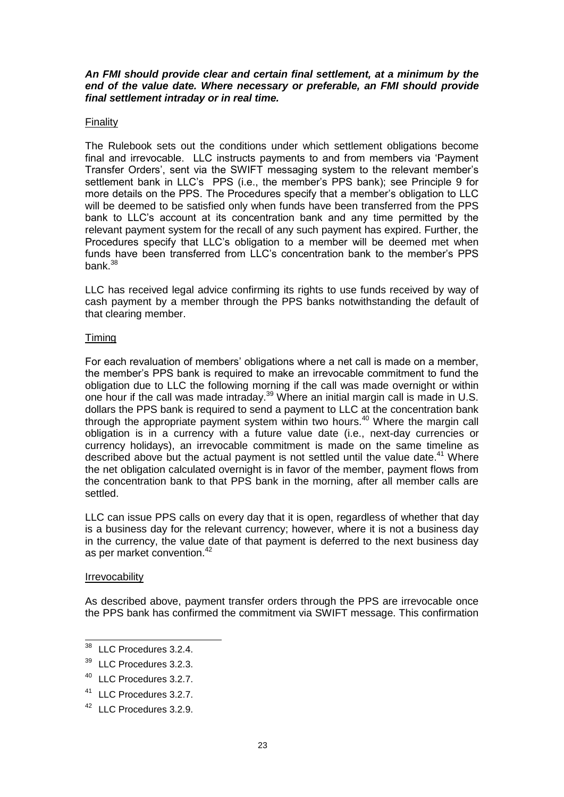### *An FMI should provide clear and certain final settlement, at a minimum by the end of the value date. Where necessary or preferable, an FMI should provide final settlement intraday or in real time.*

### Finality

The Rulebook sets out the conditions under which settlement obligations become final and irrevocable. LLC instructs payments to and from members via 'Payment Transfer Orders', sent via the SWIFT messaging system to the relevant member's settlement bank in LLC's PPS (i.e., the member's PPS bank); see Principle 9 for more details on the PPS. The Procedures specify that a member's obligation to LLC will be deemed to be satisfied only when funds have been transferred from the PPS bank to LLC's account at its concentration bank and any time permitted by the relevant payment system for the recall of any such payment has expired. Further, the Procedures specify that LLC's obligation to a member will be deemed met when funds have been transferred from LLC's concentration bank to the member's PPS bank. $38$ 

LLC has received legal advice confirming its rights to use funds received by way of cash payment by a member through the PPS banks notwithstanding the default of that clearing member.

### Timing

For each revaluation of members' obligations where a net call is made on a member, the member's PPS bank is required to make an irrevocable commitment to fund the obligation due to LLC the following morning if the call was made overnight or within one hour if the call was made intraday.<sup>39</sup> Where an initial margin call is made in U.S. dollars the PPS bank is required to send a payment to LLC at the concentration bank through the appropriate payment system within two hours.<sup>40</sup> Where the margin call obligation is in a currency with a future value date (i.e., next-day currencies or currency holidays), an irrevocable commitment is made on the same timeline as described above but the actual payment is not settled until the value date.<sup>41</sup> Where the net obligation calculated overnight is in favor of the member, payment flows from the concentration bank to that PPS bank in the morning, after all member calls are settled.

LLC can issue PPS calls on every day that it is open, regardless of whether that day is a business day for the relevant currency; however, where it is not a business day in the currency, the value date of that payment is deferred to the next business day as per market convention.<sup>42</sup>

### Irrevocability

As described above, payment transfer orders through the PPS are irrevocable once the PPS bank has confirmed the commitment via SWIFT message. This confirmation

<sup>38</sup> LLC Procedures 3.2.4.

<sup>&</sup>lt;sup>39</sup> LLC Procedures 3.2.3.

<sup>40</sup> LLC Procedures 3.2.7.

<sup>41</sup> LLC Procedures 3.2.7.

<sup>42</sup> LLC Procedures 3.2.9.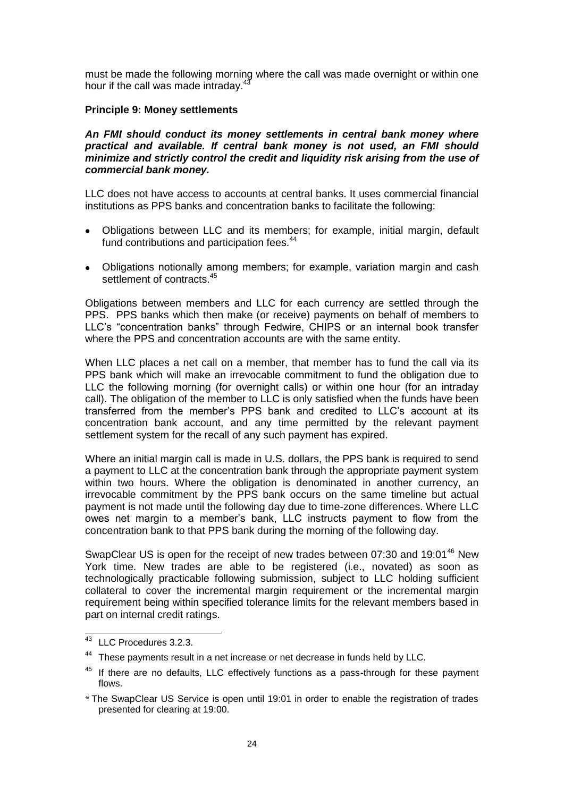must be made the following morning where the call was made overnight or within one hour if the call was made intraday.<sup>4</sup>

## **Principle 9: Money settlements**

### *An FMI should conduct its money settlements in central bank money where practical and available. If central bank money is not used, an FMI should minimize and strictly control the credit and liquidity risk arising from the use of commercial bank money.*

LLC does not have access to accounts at central banks. It uses commercial financial institutions as PPS banks and concentration banks to facilitate the following:

- Obligations between LLC and its members; for example, initial margin, default  $\bullet$ fund contributions and participation fees.<sup>44</sup>
- $\bullet$ Obligations notionally among members; for example, variation margin and cash settlement of contracts.<sup>45</sup>

Obligations between members and LLC for each currency are settled through the PPS. PPS banks which then make (or receive) payments on behalf of members to LLC's "concentration banks" through Fedwire, CHIPS or an internal book transfer where the PPS and concentration accounts are with the same entity.

When LLC places a net call on a member, that member has to fund the call via its PPS bank which will make an irrevocable commitment to fund the obligation due to LLC the following morning (for overnight calls) or within one hour (for an intraday call). The obligation of the member to LLC is only satisfied when the funds have been transferred from the member's PPS bank and credited to LLC's account at its concentration bank account, and any time permitted by the relevant payment settlement system for the recall of any such payment has expired.

Where an initial margin call is made in U.S. dollars, the PPS bank is required to send a payment to LLC at the concentration bank through the appropriate payment system within two hours. Where the obligation is denominated in another currency, an irrevocable commitment by the PPS bank occurs on the same timeline but actual payment is not made until the following day due to time-zone differences. Where LLC owes net margin to a member's bank, LLC instructs payment to flow from the concentration bank to that PPS bank during the morning of the following day.

SwapClear US is open for the receipt of new trades between 07:30 and 19:01<sup>46</sup> New York time. New trades are able to be registered (i.e., novated) as soon as technologically practicable following submission, subject to LLC holding sufficient collateral to cover the incremental margin requirement or the incremental margin requirement being within specified tolerance limits for the relevant members based in part on internal credit ratings.

j

<sup>&</sup>lt;sup>43</sup> LLC Procedures 3.2.3.

<sup>&</sup>lt;sup>44</sup> These payments result in a net increase or net decrease in funds held by LLC.

 $45$  If there are no defaults, LLC effectively functions as a pass-through for these payment flows.

*<sup>46</sup>* The SwapClear US Service is open until 19:01 in order to enable the registration of trades presented for clearing at 19:00.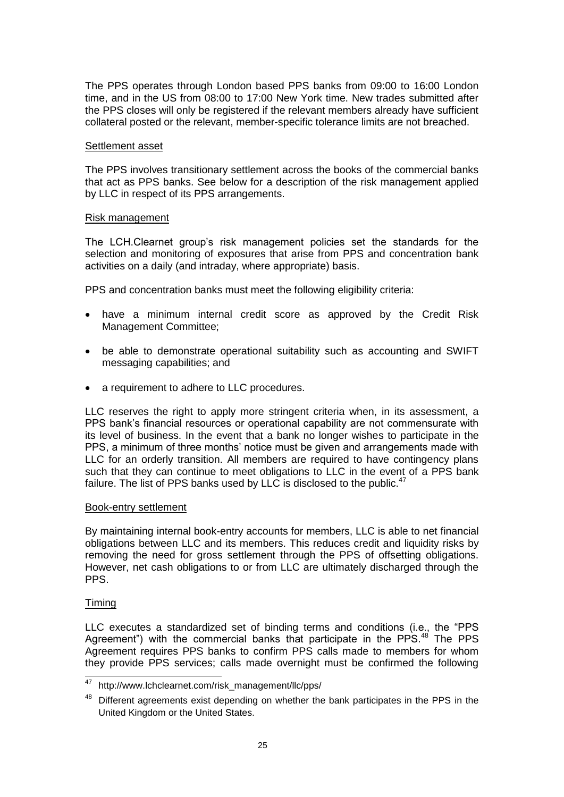The PPS operates through London based PPS banks from 09:00 to 16:00 London time, and in the US from 08:00 to 17:00 New York time. New trades submitted after the PPS closes will only be registered if the relevant members already have sufficient collateral posted or the relevant, member-specific tolerance limits are not breached.

### Settlement asset

The PPS involves transitionary settlement across the books of the commercial banks that act as PPS banks. See below for a description of the risk management applied by LLC in respect of its PPS arrangements.

### Risk management

The LCH.Clearnet group's risk management policies set the standards for the selection and monitoring of exposures that arise from PPS and concentration bank activities on a daily (and intraday, where appropriate) basis.

PPS and concentration banks must meet the following eligibility criteria:

- have a minimum internal credit score as approved by the Credit Risk Management Committee;
- be able to demonstrate operational suitability such as accounting and SWIFT messaging capabilities; and
- a requirement to adhere to LLC procedures.

LLC reserves the right to apply more stringent criteria when, in its assessment, a PPS bank's financial resources or operational capability are not commensurate with its level of business. In the event that a bank no longer wishes to participate in the PPS, a minimum of three months' notice must be given and arrangements made with LLC for an orderly transition. All members are required to have contingency plans such that they can continue to meet obligations to LLC in the event of a PPS bank failure. The list of PPS banks used by LLC is disclosed to the public. $47$ 

### Book-entry settlement

By maintaining internal book-entry accounts for members, LLC is able to net financial obligations between LLC and its members. This reduces credit and liquidity risks by removing the need for gross settlement through the PPS of offsetting obligations. However, net cash obligations to or from LLC are ultimately discharged through the PPS.

# Timing

LLC executes a standardized set of binding terms and conditions (i.e., the "PPS Agreement") with the commercial banks that participate in the PPS.<sup>48</sup> The PPS Agreement requires PPS banks to confirm PPS calls made to members for whom they provide PPS services; calls made overnight must be confirmed the following

 $47\,$ http://www.lchclearnet.com/risk\_management/llc/pps/

<sup>&</sup>lt;sup>48</sup> Different agreements exist depending on whether the bank participates in the PPS in the United Kingdom or the United States.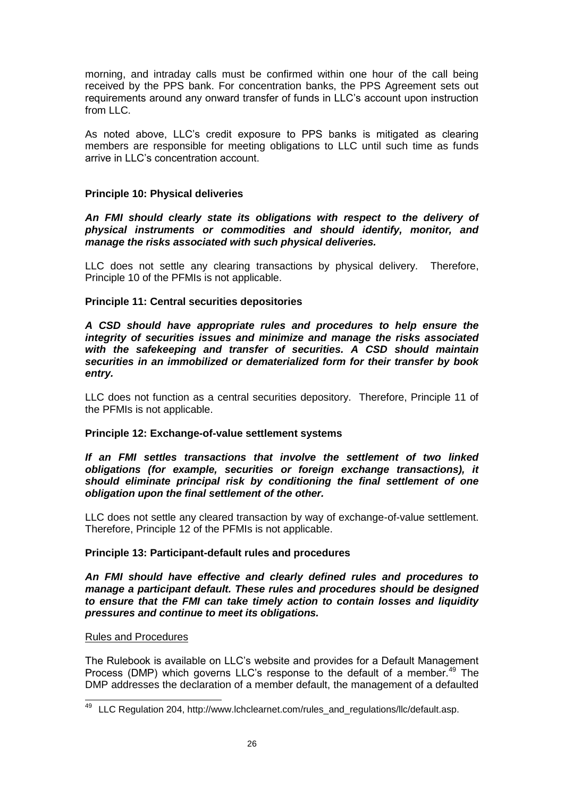morning, and intraday calls must be confirmed within one hour of the call being received by the PPS bank. For concentration banks, the PPS Agreement sets out requirements around any onward transfer of funds in LLC's account upon instruction from LLC.

As noted above, LLC's credit exposure to PPS banks is mitigated as clearing members are responsible for meeting obligations to LLC until such time as funds arrive in LLC's concentration account.

# **Principle 10: Physical deliveries**

*An FMI should clearly state its obligations with respect to the delivery of physical instruments or commodities and should identify, monitor, and manage the risks associated with such physical deliveries.*

LLC does not settle any clearing transactions by physical delivery. Therefore, Principle 10 of the PFMIs is not applicable.

# **Principle 11: Central securities depositories**

*A CSD should have appropriate rules and procedures to help ensure the integrity of securities issues and minimize and manage the risks associated with the safekeeping and transfer of securities. A CSD should maintain securities in an immobilized or dematerialized form for their transfer by book entry.* 

LLC does not function as a central securities depository. Therefore, Principle 11 of the PFMIs is not applicable.

# **Principle 12: Exchange-of-value settlement systems**

*If an FMI settles transactions that involve the settlement of two linked obligations (for example, securities or foreign exchange transactions), it should eliminate principal risk by conditioning the final settlement of one obligation upon the final settlement of the other.* 

LLC does not settle any cleared transaction by way of exchange-of-value settlement. Therefore, Principle 12 of the PFMIs is not applicable.

# **Principle 13: Participant-default rules and procedures**

*An FMI should have effective and clearly defined rules and procedures to manage a participant default. These rules and procedures should be designed to ensure that the FMI can take timely action to contain losses and liquidity pressures and continue to meet its obligations.* 

# Rules and Procedures

The Rulebook is available on LLC's website and provides for a Default Management Process (DMP) which governs LLC's response to the default of a member.<sup>49</sup> The DMP addresses the declaration of a member default, the management of a defaulted

 $\overline{a}$ <sup>49</sup> LLC Regulation 204, http://www.lchclearnet.com/rules\_and\_regulations/llc/default.asp.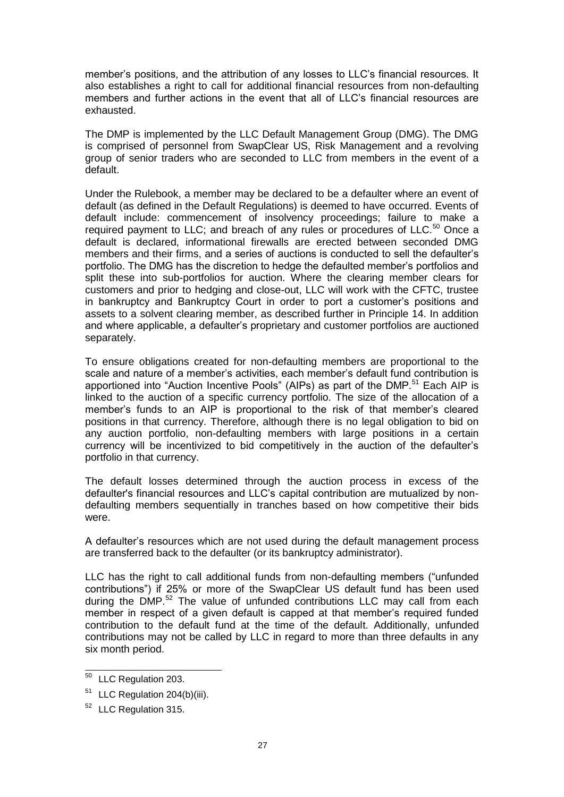member's positions, and the attribution of any losses to LLC's financial resources. It also establishes a right to call for additional financial resources from non-defaulting members and further actions in the event that all of LLC's financial resources are exhausted.

The DMP is implemented by the LLC Default Management Group (DMG). The DMG is comprised of personnel from SwapClear US, Risk Management and a revolving group of senior traders who are seconded to LLC from members in the event of a default.

Under the Rulebook, a member may be declared to be a defaulter where an event of default (as defined in the Default Regulations) is deemed to have occurred. Events of default include: commencement of insolvency proceedings; failure to make a required payment to LLC; and breach of any rules or procedures of LLC.<sup>50</sup> Once a default is declared, informational firewalls are erected between seconded DMG members and their firms, and a series of auctions is conducted to sell the defaulter's portfolio. The DMG has the discretion to hedge the defaulted member's portfolios and split these into sub-portfolios for auction. Where the clearing member clears for customers and prior to hedging and close-out, LLC will work with the CFTC, trustee in bankruptcy and Bankruptcy Court in order to port a customer's positions and assets to a solvent clearing member, as described further in Principle 14. In addition and where applicable, a defaulter's proprietary and customer portfolios are auctioned separately.

To ensure obligations created for non-defaulting members are proportional to the scale and nature of a member's activities, each member's default fund contribution is apportioned into "Auction Incentive Pools" (AIPs) as part of the DMP.<sup>51</sup> Each AIP is linked to the auction of a specific currency portfolio. The size of the allocation of a member's funds to an AIP is proportional to the risk of that member's cleared positions in that currency. Therefore, although there is no legal obligation to bid on any auction portfolio, non-defaulting members with large positions in a certain currency will be incentivized to bid competitively in the auction of the defaulter's portfolio in that currency.

The default losses determined through the auction process in excess of the defaulter's financial resources and LLC's capital contribution are mutualized by nondefaulting members sequentially in tranches based on how competitive their bids were.

A defaulter's resources which are not used during the default management process are transferred back to the defaulter (or its bankruptcy administrator).

LLC has the right to call additional funds from non-defaulting members ("unfunded contributions") if 25% or more of the SwapClear US default fund has been used during the DMP.<sup>52</sup> The value of unfunded contributions LLC may call from each member in respect of a given default is capped at that member's required funded contribution to the default fund at the time of the default. Additionally, unfunded contributions may not be called by LLC in regard to more than three defaults in any six month period.

 $\overline{a}$ 

<sup>&</sup>lt;sup>50</sup> LLC Regulation 203.

<sup>&</sup>lt;sup>51</sup> LLC Regulation 204(b)(iii).

<sup>&</sup>lt;sup>52</sup> LLC Regulation 315.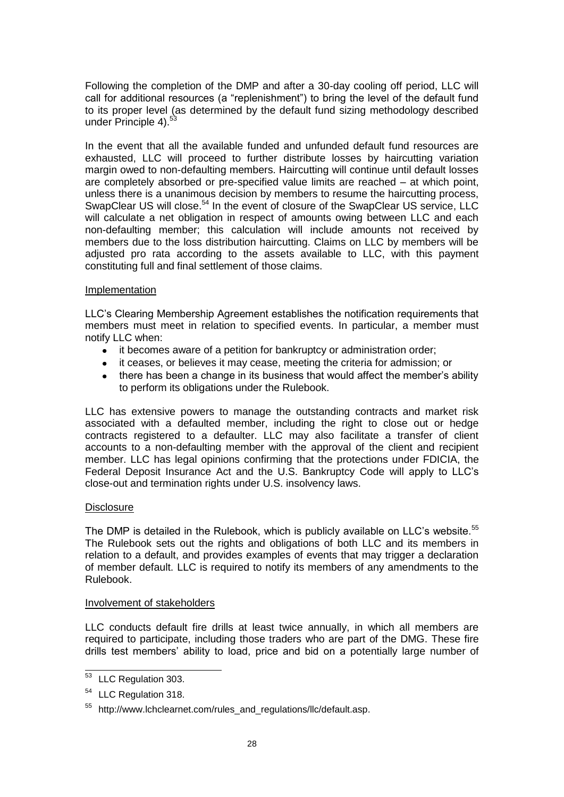Following the completion of the DMP and after a 30-day cooling off period, LLC will call for additional resources (a "replenishment") to bring the level of the default fund to its proper level (as determined by the default fund sizing methodology described under Principle 4).<sup>53</sup>

In the event that all the available funded and unfunded default fund resources are exhausted, LLC will proceed to further distribute losses by haircutting variation margin owed to non-defaulting members. Haircutting will continue until default losses are completely absorbed or pre-specified value limits are reached – at which point, unless there is a unanimous decision by members to resume the haircutting process, SwapClear US will close.<sup>54</sup> In the event of closure of the SwapClear US service, LLC will calculate a net obligation in respect of amounts owing between LLC and each non-defaulting member; this calculation will include amounts not received by members due to the loss distribution haircutting. Claims on LLC by members will be adjusted pro rata according to the assets available to LLC, with this payment constituting full and final settlement of those claims.

### Implementation

LLC's Clearing Membership Agreement establishes the notification requirements that members must meet in relation to specified events. In particular, a member must notify LLC when:

- $\bullet$ it becomes aware of a petition for bankruptcy or administration order;
- $\bullet$ it ceases, or believes it may cease, meeting the criteria for admission; or
- there has been a change in its business that would affect the member's ability  $\bullet$ to perform its obligations under the Rulebook.

LLC has extensive powers to manage the outstanding contracts and market risk associated with a defaulted member, including the right to close out or hedge contracts registered to a defaulter. LLC may also facilitate a transfer of client accounts to a non-defaulting member with the approval of the client and recipient member. LLC has legal opinions confirming that the protections under FDICIA, the Federal Deposit Insurance Act and the U.S. Bankruptcy Code will apply to LLC's close-out and termination rights under U.S. insolvency laws.

# **Disclosure**

The DMP is detailed in the Rulebook, which is publicly available on LLC's website.<sup>55</sup> The Rulebook sets out the rights and obligations of both LLC and its members in relation to a default, and provides examples of events that may trigger a declaration of member default. LLC is required to notify its members of any amendments to the Rulebook.

### Involvement of stakeholders

LLC conducts default fire drills at least twice annually, in which all members are required to participate, including those traders who are part of the DMG. These fire drills test members' ability to load, price and bid on a potentially large number of

 $\overline{a}$ <sup>53</sup> LLC Regulation 303.

<sup>54</sup> LLC Regulation 318.

<sup>55</sup> http://www.lchclearnet.com/rules\_and\_regulations/llc/default.asp.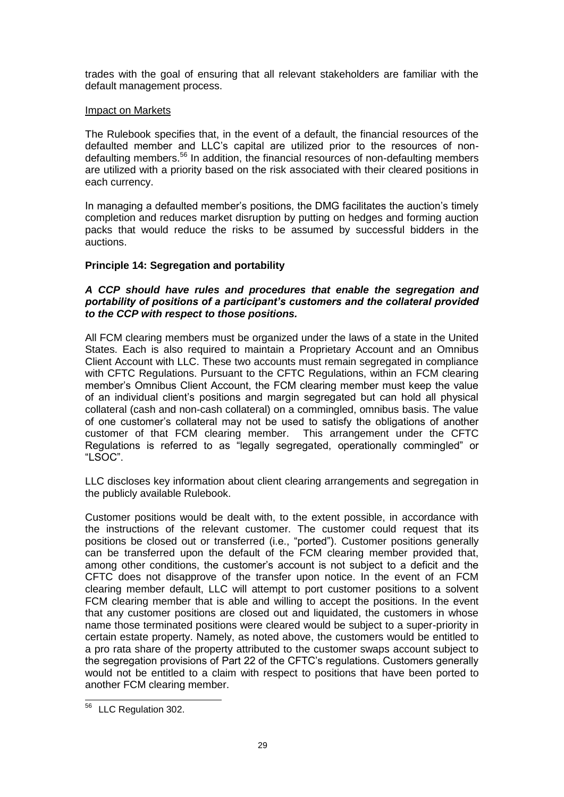trades with the goal of ensuring that all relevant stakeholders are familiar with the default management process.

### Impact on Markets

The Rulebook specifies that, in the event of a default, the financial resources of the defaulted member and LLC's capital are utilized prior to the resources of nondefaulting members.<sup>56</sup> In addition, the financial resources of non-defaulting members are utilized with a priority based on the risk associated with their cleared positions in each currency.

In managing a defaulted member's positions, the DMG facilitates the auction's timely completion and reduces market disruption by putting on hedges and forming auction packs that would reduce the risks to be assumed by successful bidders in the auctions.

# **Principle 14: Segregation and portability**

# *A CCP should have rules and procedures that enable the segregation and portability of positions of a participant's customers and the collateral provided to the CCP with respect to those positions.*

All FCM clearing members must be organized under the laws of a state in the United States. Each is also required to maintain a Proprietary Account and an Omnibus Client Account with LLC. These two accounts must remain segregated in compliance with CFTC Regulations. Pursuant to the CFTC Regulations, within an FCM clearing member's Omnibus Client Account, the FCM clearing member must keep the value of an individual client's positions and margin segregated but can hold all physical collateral (cash and non-cash collateral) on a commingled, omnibus basis. The value of one customer's collateral may not be used to satisfy the obligations of another customer of that FCM clearing member. This arrangement under the CFTC Regulations is referred to as "legally segregated, operationally commingled" or "LSOC".

LLC discloses key information about client clearing arrangements and segregation in the publicly available Rulebook.

Customer positions would be dealt with, to the extent possible, in accordance with the instructions of the relevant customer. The customer could request that its positions be closed out or transferred (i.e., "ported"). Customer positions generally can be transferred upon the default of the FCM clearing member provided that, among other conditions, the customer's account is not subject to a deficit and the CFTC does not disapprove of the transfer upon notice. In the event of an FCM clearing member default, LLC will attempt to port customer positions to a solvent FCM clearing member that is able and willing to accept the positions. In the event that any customer positions are closed out and liquidated, the customers in whose name those terminated positions were cleared would be subject to a super-priority in certain estate property. Namely, as noted above, the customers would be entitled to a pro rata share of the property attributed to the customer swaps account subject to the segregation provisions of Part 22 of the CFTC's regulations. Customers generally would not be entitled to a claim with respect to positions that have been ported to another FCM clearing member.

 $\overline{a}$ <sup>56</sup> LLC Regulation 302.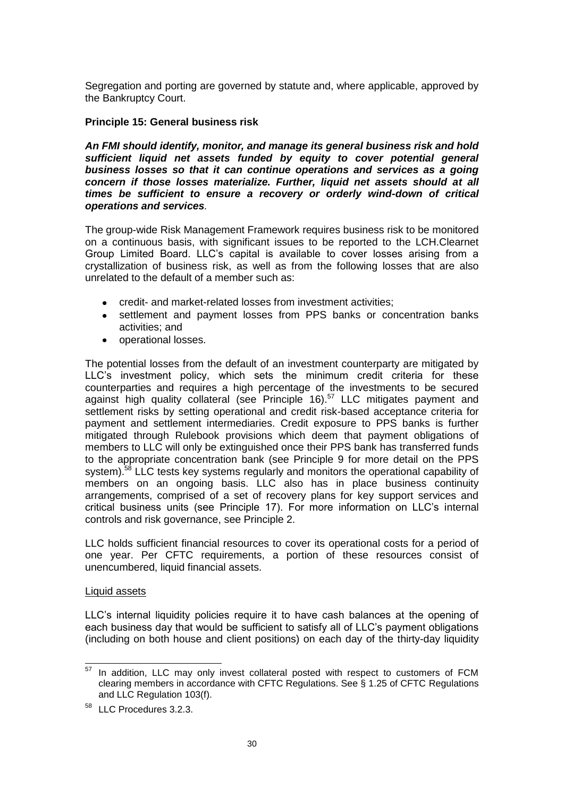Segregation and porting are governed by statute and, where applicable, approved by the Bankruptcy Court.

### **Principle 15: General business risk**

*An FMI should identify, monitor, and manage its general business risk and hold sufficient liquid net assets funded by equity to cover potential general business losses so that it can continue operations and services as a going concern if those losses materialize. Further, liquid net assets should at all times be sufficient to ensure a recovery or orderly wind-down of critical operations and services.* 

The group-wide Risk Management Framework requires business risk to be monitored on a continuous basis, with significant issues to be reported to the LCH.Clearnet Group Limited Board. LLC's capital is available to cover losses arising from a crystallization of business risk, as well as from the following losses that are also unrelated to the default of a member such as:

- credit- and market-related losses from investment activities;  $\bullet$
- settlement and payment losses from PPS banks or concentration banks activities; and
- operational losses.  $\bullet$

The potential losses from the default of an investment counterparty are mitigated by LLC's investment policy, which sets the minimum credit criteria for these counterparties and requires a high percentage of the investments to be secured against high quality collateral (see Principle 16). $57$  LLC mitigates payment and settlement risks by setting operational and credit risk-based acceptance criteria for payment and settlement intermediaries. Credit exposure to PPS banks is further mitigated through Rulebook provisions which deem that payment obligations of members to LLC will only be extinguished once their PPS bank has transferred funds to the appropriate concentration bank (see Principle 9 for more detail on the PPS system).<sup>58</sup> LLC tests key systems regularly and monitors the operational capability of members on an ongoing basis. LLC also has in place business continuity arrangements, comprised of a set of recovery plans for key support services and critical business units (see Principle 17). For more information on LLC's internal controls and risk governance, see Principle 2.

LLC holds sufficient financial resources to cover its operational costs for a period of one year. Per CFTC requirements, a portion of these resources consist of unencumbered, liquid financial assets.

### Liquid assets

LLC's internal liquidity policies require it to have cash balances at the opening of each business day that would be sufficient to satisfy all of LLC's payment obligations (including on both house and client positions) on each day of the thirty-day liquidity

<sup>57</sup> In addition, LLC may only invest collateral posted with respect to customers of FCM clearing members in accordance with CFTC Regulations. See § 1.25 of CFTC Regulations and LLC Regulation 103(f).

<sup>58</sup> LLC Procedures 3.2.3.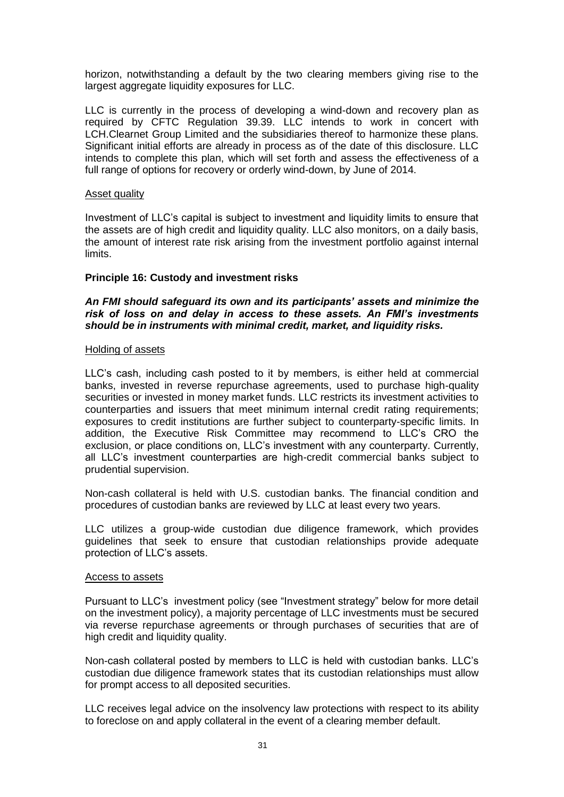horizon, notwithstanding a default by the two clearing members giving rise to the largest aggregate liquidity exposures for LLC.

LLC is currently in the process of developing a wind-down and recovery plan as required by CFTC Regulation 39.39. LLC intends to work in concert with LCH.Clearnet Group Limited and the subsidiaries thereof to harmonize these plans. Significant initial efforts are already in process as of the date of this disclosure. LLC intends to complete this plan, which will set forth and assess the effectiveness of a full range of options for recovery or orderly wind-down, by June of 2014.

### Asset quality

Investment of LLC's capital is subject to investment and liquidity limits to ensure that the assets are of high credit and liquidity quality. LLC also monitors, on a daily basis, the amount of interest rate risk arising from the investment portfolio against internal limits.

### **Principle 16: Custody and investment risks**

### *An FMI should safeguard its own and its participants' assets and minimize the risk of loss on and delay in access to these assets. An FMI's investments should be in instruments with minimal credit, market, and liquidity risks.*

#### Holding of assets

LLC's cash, including cash posted to it by members, is either held at commercial banks, invested in reverse repurchase agreements, used to purchase high-quality securities or invested in money market funds. LLC restricts its investment activities to counterparties and issuers that meet minimum internal credit rating requirements; exposures to credit institutions are further subject to counterparty-specific limits. In addition, the Executive Risk Committee may recommend to LLC's CRO the exclusion, or place conditions on, LLC's investment with any counterparty. Currently, all LLC's investment counterparties are high-credit commercial banks subject to prudential supervision.

Non-cash collateral is held with U.S. custodian banks. The financial condition and procedures of custodian banks are reviewed by LLC at least every two years.

LLC utilizes a group-wide custodian due diligence framework, which provides guidelines that seek to ensure that custodian relationships provide adequate protection of LLC's assets.

#### Access to assets

Pursuant to LLC's investment policy (see "Investment strategy" below for more detail on the investment policy), a majority percentage of LLC investments must be secured via reverse repurchase agreements or through purchases of securities that are of high credit and liquidity quality.

Non-cash collateral posted by members to LLC is held with custodian banks. LLC's custodian due diligence framework states that its custodian relationships must allow for prompt access to all deposited securities.

LLC receives legal advice on the insolvency law protections with respect to its ability to foreclose on and apply collateral in the event of a clearing member default.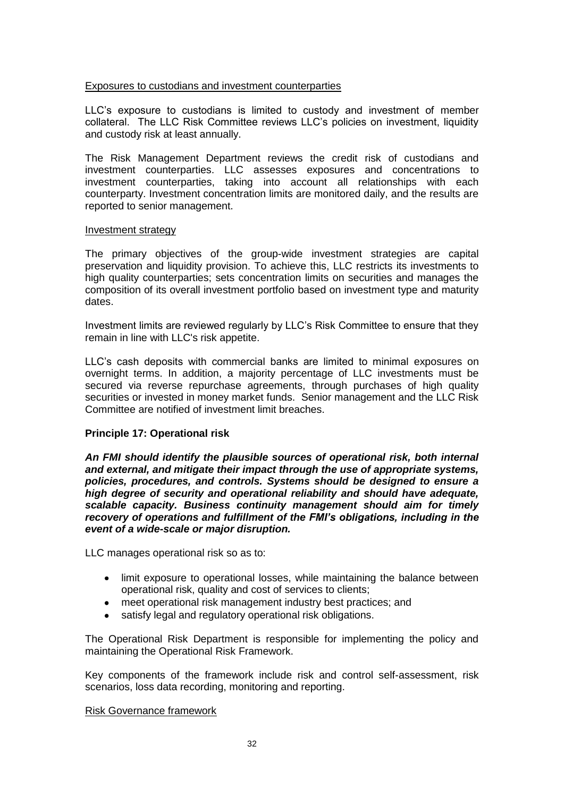### Exposures to custodians and investment counterparties

LLC's exposure to custodians is limited to custody and investment of member collateral. The LLC Risk Committee reviews LLC's policies on investment, liquidity and custody risk at least annually.

The Risk Management Department reviews the credit risk of custodians and investment counterparties. LLC assesses exposures and concentrations to investment counterparties, taking into account all relationships with each counterparty. Investment concentration limits are monitored daily, and the results are reported to senior management.

### Investment strategy

The primary objectives of the group-wide investment strategies are capital preservation and liquidity provision. To achieve this, LLC restricts its investments to high quality counterparties; sets concentration limits on securities and manages the composition of its overall investment portfolio based on investment type and maturity dates.

Investment limits are reviewed regularly by LLC's Risk Committee to ensure that they remain in line with LLC's risk appetite.

LLC's cash deposits with commercial banks are limited to minimal exposures on overnight terms. In addition, a majority percentage of LLC investments must be secured via reverse repurchase agreements, through purchases of high quality securities or invested in money market funds. Senior management and the LLC Risk Committee are notified of investment limit breaches.

### **Principle 17: Operational risk**

*An FMI should identify the plausible sources of operational risk, both internal and external, and mitigate their impact through the use of appropriate systems, policies, procedures, and controls. Systems should be designed to ensure a high degree of security and operational reliability and should have adequate, scalable capacity. Business continuity management should aim for timely recovery of operations and fulfillment of the FMI's obligations, including in the event of a wide-scale or major disruption.* 

LLC manages operational risk so as to:

- limit exposure to operational losses, while maintaining the balance between operational risk, quality and cost of services to clients;
- meet operational risk management industry best practices; and  $\bullet$
- satisfy legal and regulatory operational risk obligations.

The Operational Risk Department is responsible for implementing the policy and maintaining the Operational Risk Framework.

Key components of the framework include risk and control self-assessment, risk scenarios, loss data recording, monitoring and reporting.

### Risk Governance framework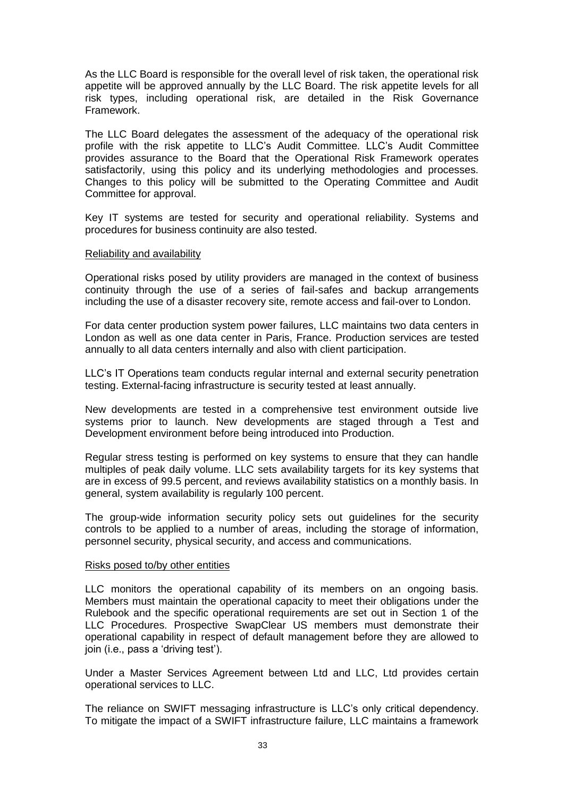As the LLC Board is responsible for the overall level of risk taken, the operational risk appetite will be approved annually by the LLC Board. The risk appetite levels for all risk types, including operational risk, are detailed in the Risk Governance Framework.

The LLC Board delegates the assessment of the adequacy of the operational risk profile with the risk appetite to LLC's Audit Committee. LLC's Audit Committee provides assurance to the Board that the Operational Risk Framework operates satisfactorily, using this policy and its underlying methodologies and processes. Changes to this policy will be submitted to the Operating Committee and Audit Committee for approval.

Key IT systems are tested for security and operational reliability. Systems and procedures for business continuity are also tested.

### Reliability and availability

Operational risks posed by utility providers are managed in the context of business continuity through the use of a series of fail-safes and backup arrangements including the use of a disaster recovery site, remote access and fail-over to London.

For data center production system power failures, LLC maintains two data centers in London as well as one data center in Paris, France. Production services are tested annually to all data centers internally and also with client participation.

LLC's IT Operations team conducts regular internal and external security penetration testing. External-facing infrastructure is security tested at least annually.

New developments are tested in a comprehensive test environment outside live systems prior to launch. New developments are staged through a Test and Development environment before being introduced into Production.

Regular stress testing is performed on key systems to ensure that they can handle multiples of peak daily volume. LLC sets availability targets for its key systems that are in excess of 99.5 percent, and reviews availability statistics on a monthly basis. In general, system availability is regularly 100 percent.

The group-wide information security policy sets out guidelines for the security controls to be applied to a number of areas, including the storage of information, personnel security, physical security, and access and communications.

#### Risks posed to/by other entities

LLC monitors the operational capability of its members on an ongoing basis. Members must maintain the operational capacity to meet their obligations under the Rulebook and the specific operational requirements are set out in Section 1 of the LLC Procedures. Prospective SwapClear US members must demonstrate their operational capability in respect of default management before they are allowed to join (i.e., pass a 'driving test').

Under a Master Services Agreement between Ltd and LLC, Ltd provides certain operational services to LLC.

The reliance on SWIFT messaging infrastructure is LLC's only critical dependency. To mitigate the impact of a SWIFT infrastructure failure, LLC maintains a framework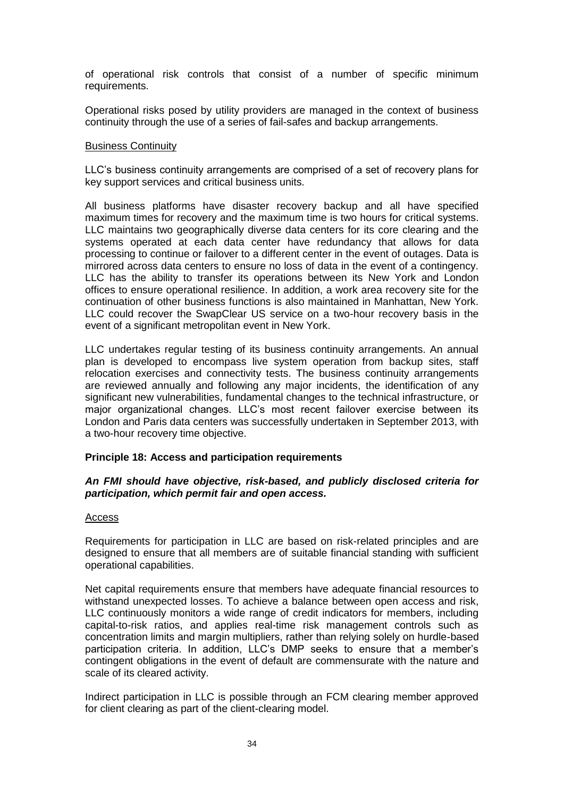of operational risk controls that consist of a number of specific minimum requirements.

Operational risks posed by utility providers are managed in the context of business continuity through the use of a series of fail-safes and backup arrangements.

#### Business Continuity

LLC's business continuity arrangements are comprised of a set of recovery plans for key support services and critical business units.

All business platforms have disaster recovery backup and all have specified maximum times for recovery and the maximum time is two hours for critical systems. LLC maintains two geographically diverse data centers for its core clearing and the systems operated at each data center have redundancy that allows for data processing to continue or failover to a different center in the event of outages. Data is mirrored across data centers to ensure no loss of data in the event of a contingency. LLC has the ability to transfer its operations between its New York and London offices to ensure operational resilience. In addition, a work area recovery site for the continuation of other business functions is also maintained in Manhattan, New York. LLC could recover the SwapClear US service on a two-hour recovery basis in the event of a significant metropolitan event in New York.

LLC undertakes regular testing of its business continuity arrangements. An annual plan is developed to encompass live system operation from backup sites, staff relocation exercises and connectivity tests. The business continuity arrangements are reviewed annually and following any major incidents, the identification of any significant new vulnerabilities, fundamental changes to the technical infrastructure, or major organizational changes. LLC's most recent failover exercise between its London and Paris data centers was successfully undertaken in September 2013, with a two-hour recovery time objective.

### **Principle 18: Access and participation requirements**

### *An FMI should have objective, risk-based, and publicly disclosed criteria for participation, which permit fair and open access.*

#### Access

Requirements for participation in LLC are based on risk-related principles and are designed to ensure that all members are of suitable financial standing with sufficient operational capabilities.

Net capital requirements ensure that members have adequate financial resources to withstand unexpected losses. To achieve a balance between open access and risk, LLC continuously monitors a wide range of credit indicators for members, including capital-to-risk ratios, and applies real-time risk management controls such as concentration limits and margin multipliers, rather than relying solely on hurdle-based participation criteria. In addition, LLC's DMP seeks to ensure that a member's contingent obligations in the event of default are commensurate with the nature and scale of its cleared activity.

Indirect participation in LLC is possible through an FCM clearing member approved for client clearing as part of the client-clearing model.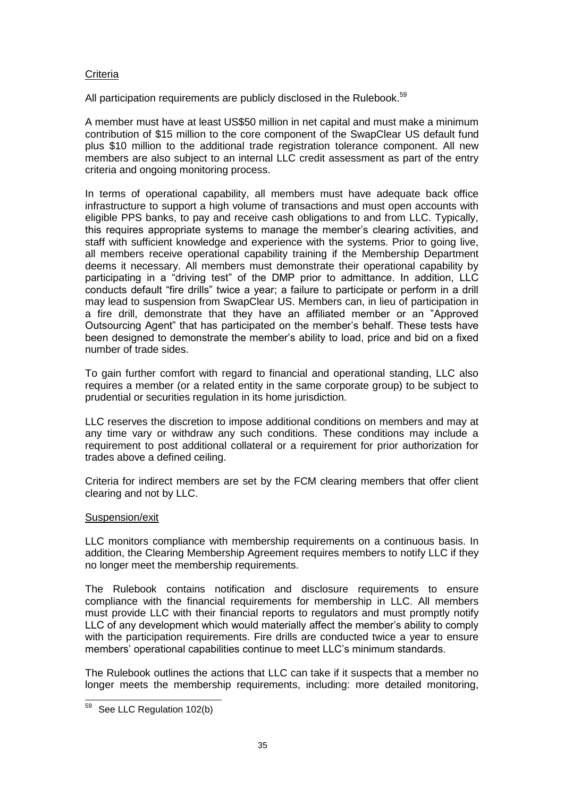# **Criteria**

All participation requirements are publicly disclosed in the Rulebook.<sup>59</sup>

A member must have at least US\$50 million in net capital and must make a minimum contribution of \$15 million to the core component of the SwapClear US default fund plus \$10 million to the additional trade registration tolerance component. All new members are also subject to an internal LLC credit assessment as part of the entry criteria and ongoing monitoring process.

In terms of operational capability, all members must have adequate back office infrastructure to support a high volume of transactions and must open accounts with eligible PPS banks, to pay and receive cash obligations to and from LLC. Typically, this requires appropriate systems to manage the member's clearing activities, and staff with sufficient knowledge and experience with the systems. Prior to going live, all members receive operational capability training if the Membership Department deems it necessary. All members must demonstrate their operational capability by participating in a "driving test" of the DMP prior to admittance. In addition, LLC conducts default "fire drills" twice a year; a failure to participate or perform in a drill may lead to suspension from SwapClear US. Members can, in lieu of participation in a fire drill, demonstrate that they have an affiliated member or an "Approved Outsourcing Agent" that has participated on the member's behalf. These tests have been designed to demonstrate the member's ability to load, price and bid on a fixed number of trade sides.

To gain further comfort with regard to financial and operational standing, LLC also requires a member (or a related entity in the same corporate group) to be subject to prudential or securities regulation in its home jurisdiction.

LLC reserves the discretion to impose additional conditions on members and may at any time vary or withdraw any such conditions. These conditions may include a requirement to post additional collateral or a requirement for prior authorization for trades above a defined ceiling.

Criteria for indirect members are set by the FCM clearing members that offer client clearing and not by LLC.

# Suspension/exit

LLC monitors compliance with membership requirements on a continuous basis. In addition, the Clearing Membership Agreement requires members to notify LLC if they no longer meet the membership requirements.

The Rulebook contains notification and disclosure requirements to ensure compliance with the financial requirements for membership in LLC. All members must provide LLC with their financial reports to regulators and must promptly notify LLC of any development which would materially affect the member's ability to comply with the participation requirements. Fire drills are conducted twice a year to ensure members' operational capabilities continue to meet LLC's minimum standards.

The Rulebook outlines the actions that LLC can take if it suspects that a member no longer meets the membership requirements, including: more detailed monitoring,

 $\overline{a}$ <sup>59</sup> See LLC Regulation 102(b)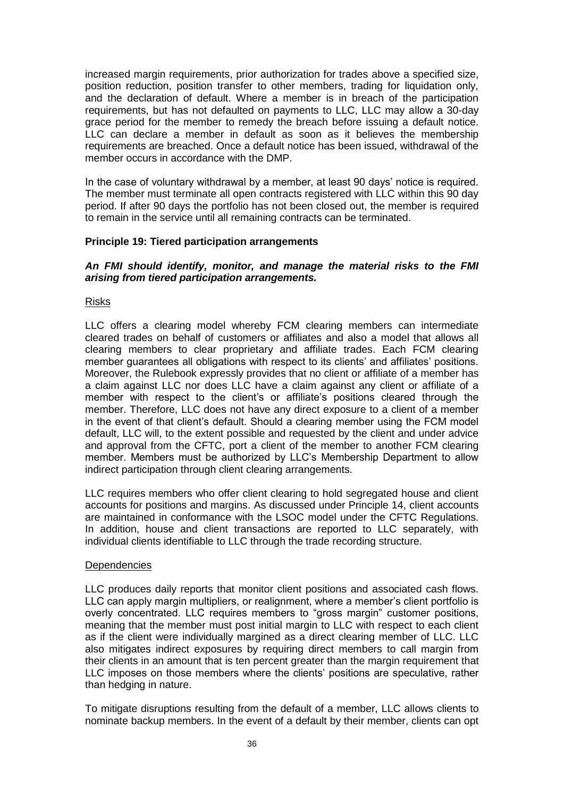increased margin requirements, prior authorization for trades above a specified size, position reduction, position transfer to other members, trading for liquidation only, and the declaration of default. Where a member is in breach of the participation requirements, but has not defaulted on payments to LLC, LLC may allow a 30-day grace period for the member to remedy the breach before issuing a default notice. LLC can declare a member in default as soon as it believes the membership requirements are breached. Once a default notice has been issued, withdrawal of the member occurs in accordance with the DMP.

In the case of voluntary withdrawal by a member, at least 90 days' notice is required. The member must terminate all open contracts registered with LLC within this 90 day period. If after 90 days the portfolio has not been closed out, the member is required to remain in the service until all remaining contracts can be terminated.

### **Principle 19: Tiered participation arrangements**

### *An FMI should identify, monitor, and manage the material risks to the FMI arising from tiered participation arrangements.*

### Risks

LLC offers a clearing model whereby FCM clearing members can intermediate cleared trades on behalf of customers or affiliates and also a model that allows all clearing members to clear proprietary and affiliate trades. Each FCM clearing member guarantees all obligations with respect to its clients' and affiliates' positions. Moreover, the Rulebook expressly provides that no client or affiliate of a member has a claim against LLC nor does LLC have a claim against any client or affiliate of a member with respect to the client's or affiliate's positions cleared through the member. Therefore, LLC does not have any direct exposure to a client of a member in the event of that client's default. Should a clearing member using the FCM model default, LLC will, to the extent possible and requested by the client and under advice and approval from the CFTC, port a client of the member to another FCM clearing member. Members must be authorized by LLC's Membership Department to allow indirect participation through client clearing arrangements.

LLC requires members who offer client clearing to hold segregated house and client accounts for positions and margins. As discussed under Principle 14, client accounts are maintained in conformance with the LSOC model under the CFTC Regulations. In addition, house and client transactions are reported to LLC separately, with individual clients identifiable to LLC through the trade recording structure.

### Dependencies

LLC produces daily reports that monitor client positions and associated cash flows. LLC can apply margin multipliers, or realignment, where a member's client portfolio is overly concentrated. LLC requires members to "gross margin" customer positions, meaning that the member must post initial margin to LLC with respect to each client as if the client were individually margined as a direct clearing member of LLC. LLC also mitigates indirect exposures by requiring direct members to call margin from their clients in an amount that is ten percent greater than the margin requirement that LLC imposes on those members where the clients' positions are speculative, rather than hedging in nature.

To mitigate disruptions resulting from the default of a member, LLC allows clients to nominate backup members. In the event of a default by their member, clients can opt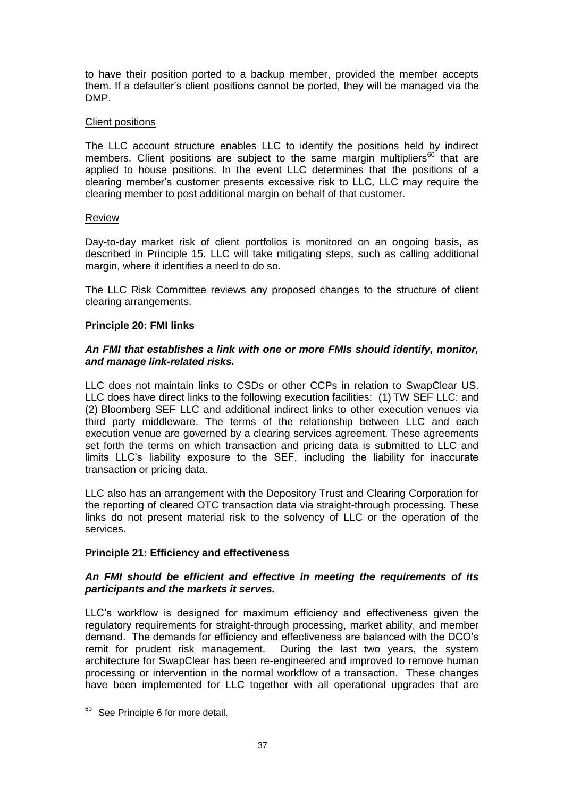to have their position ported to a backup member, provided the member accepts them. If a defaulter's client positions cannot be ported, they will be managed via the DMP.

# Client positions

The LLC account structure enables LLC to identify the positions held by indirect members. Client positions are subject to the same margin multipliers<sup>60</sup> that are applied to house positions. In the event LLC determines that the positions of a clearing member's customer presents excessive risk to LLC, LLC may require the clearing member to post additional margin on behalf of that customer.

# Review

Day-to-day market risk of client portfolios is monitored on an ongoing basis, as described in Principle 15. LLC will take mitigating steps, such as calling additional margin, where it identifies a need to do so.

The LLC Risk Committee reviews any proposed changes to the structure of client clearing arrangements.

# **Principle 20: FMI links**

# *An FMI that establishes a link with one or more FMIs should identify, monitor, and manage link-related risks.*

LLC does not maintain links to CSDs or other CCPs in relation to SwapClear US. LLC does have direct links to the following execution facilities: (1) TW SEF LLC; and (2) Bloomberg SEF LLC and additional indirect links to other execution venues via third party middleware. The terms of the relationship between LLC and each execution venue are governed by a clearing services agreement. These agreements set forth the terms on which transaction and pricing data is submitted to LLC and limits LLC's liability exposure to the SEF, including the liability for inaccurate transaction or pricing data.

LLC also has an arrangement with the Depository Trust and Clearing Corporation for the reporting of cleared OTC transaction data via straight-through processing. These links do not present material risk to the solvency of LLC or the operation of the services.

# **Principle 21: Efficiency and effectiveness**

# *An FMI should be efficient and effective in meeting the requirements of its participants and the markets it serves.*

LLC's workflow is designed for maximum efficiency and effectiveness given the regulatory requirements for straight-through processing, market ability, and member demand. The demands for efficiency and effectiveness are balanced with the DCO's remit for prudent risk management. During the last two years, the system architecture for SwapClear has been re-engineered and improved to remove human processing or intervention in the normal workflow of a transaction. These changes have been implemented for LLC together with all operational upgrades that are

l <sup>60</sup> See Principle 6 for more detail.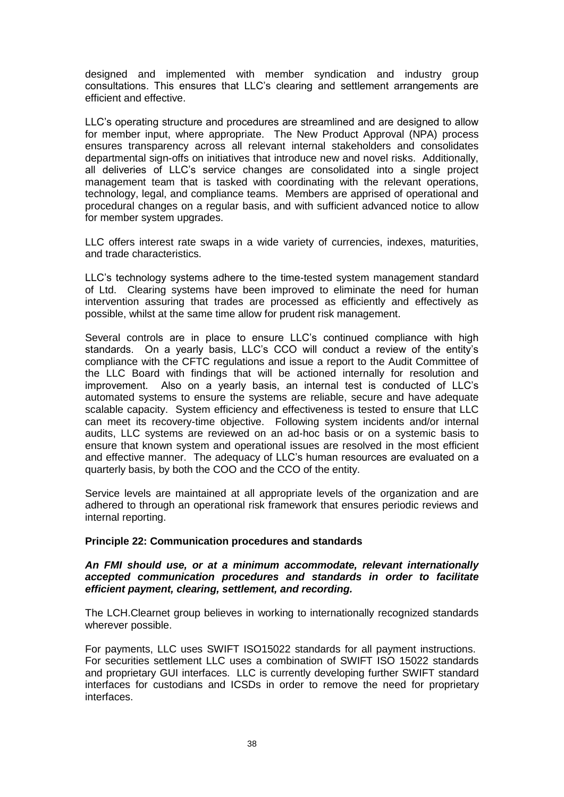designed and implemented with member syndication and industry group consultations. This ensures that LLC's clearing and settlement arrangements are efficient and effective.

LLC's operating structure and procedures are streamlined and are designed to allow for member input, where appropriate. The New Product Approval (NPA) process ensures transparency across all relevant internal stakeholders and consolidates departmental sign-offs on initiatives that introduce new and novel risks. Additionally, all deliveries of LLC's service changes are consolidated into a single project management team that is tasked with coordinating with the relevant operations, technology, legal, and compliance teams. Members are apprised of operational and procedural changes on a regular basis, and with sufficient advanced notice to allow for member system upgrades.

LLC offers interest rate swaps in a wide variety of currencies, indexes, maturities, and trade characteristics.

LLC's technology systems adhere to the time-tested system management standard of Ltd. Clearing systems have been improved to eliminate the need for human intervention assuring that trades are processed as efficiently and effectively as possible, whilst at the same time allow for prudent risk management.

Several controls are in place to ensure LLC's continued compliance with high standards. On a yearly basis, LLC's CCO will conduct a review of the entity's compliance with the CFTC regulations and issue a report to the Audit Committee of the LLC Board with findings that will be actioned internally for resolution and improvement. Also on a yearly basis, an internal test is conducted of LLC's automated systems to ensure the systems are reliable, secure and have adequate scalable capacity. System efficiency and effectiveness is tested to ensure that LLC can meet its recovery-time objective. Following system incidents and/or internal audits, LLC systems are reviewed on an ad-hoc basis or on a systemic basis to ensure that known system and operational issues are resolved in the most efficient and effective manner. The adequacy of LLC's human resources are evaluated on a quarterly basis, by both the COO and the CCO of the entity.

Service levels are maintained at all appropriate levels of the organization and are adhered to through an operational risk framework that ensures periodic reviews and internal reporting.

### **Principle 22: Communication procedures and standards**

### *An FMI should use, or at a minimum accommodate, relevant internationally accepted communication procedures and standards in order to facilitate efficient payment, clearing, settlement, and recording.*

The LCH.Clearnet group believes in working to internationally recognized standards wherever possible.

For payments, LLC uses SWIFT ISO15022 standards for all payment instructions. For securities settlement LLC uses a combination of SWIFT ISO 15022 standards and proprietary GUI interfaces. LLC is currently developing further SWIFT standard interfaces for custodians and ICSDs in order to remove the need for proprietary interfaces.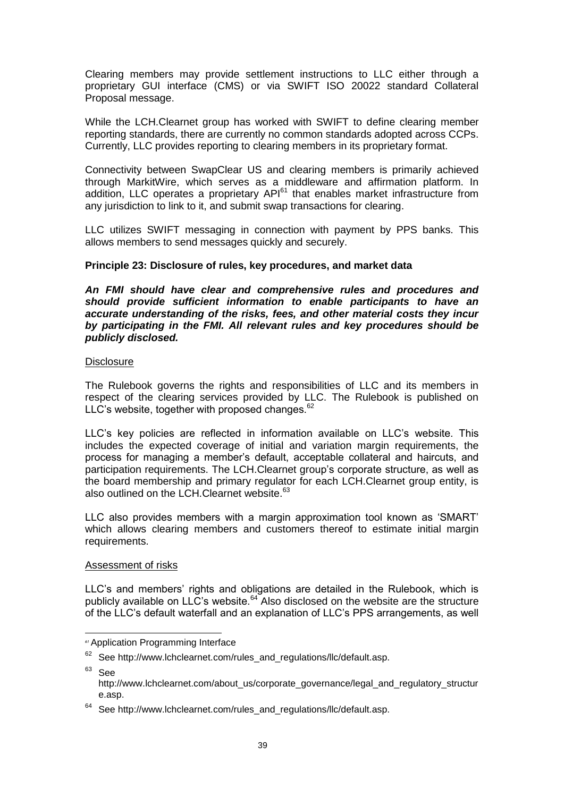Clearing members may provide settlement instructions to LLC either through a proprietary GUI interface (CMS) or via SWIFT ISO 20022 standard Collateral Proposal message.

While the LCH.Clearnet group has worked with SWIFT to define clearing member reporting standards, there are currently no common standards adopted across CCPs. Currently, LLC provides reporting to clearing members in its proprietary format.

Connectivity between SwapClear US and clearing members is primarily achieved through MarkitWire, which serves as a middleware and affirmation platform. In addition, LLC operates a proprietary  $API<sup>61</sup>$  that enables market infrastructure from any jurisdiction to link to it, and submit swap transactions for clearing.

LLC utilizes SWIFT messaging in connection with payment by PPS banks. This allows members to send messages quickly and securely.

# **Principle 23: Disclosure of rules, key procedures, and market data**

*An FMI should have clear and comprehensive rules and procedures and should provide sufficient information to enable participants to have an accurate understanding of the risks, fees, and other material costs they incur by participating in the FMI. All relevant rules and key procedures should be publicly disclosed.* 

### **Disclosure**

The Rulebook governs the rights and responsibilities of LLC and its members in respect of the clearing services provided by LLC. The Rulebook is published on LLC's website, together with proposed changes. $62$ 

LLC's key policies are reflected in information available on LLC's website. This includes the expected coverage of initial and variation margin requirements, the process for managing a member's default, acceptable collateral and haircuts, and participation requirements. The LCH.Clearnet group's corporate structure, as well as the board membership and primary regulator for each LCH.Clearnet group entity, is also outlined on the LCH.Clearnet website.<sup>63</sup>

LLC also provides members with a margin approximation tool known as 'SMART' which allows clearing members and customers thereof to estimate initial margin requirements.

### Assessment of risks

LLC's and members' rights and obligations are detailed in the Rulebook, which is publicly available on LLC's website.<sup>64</sup> Also disclosed on the website are the structure of the LLC's default waterfall and an explanation of LLC's PPS arrangements, as well

 $63$  See

j

*<sup>61</sup>* Application Programming Interface

 $62$  See http://www.lchclearnet.com/rules\_and\_regulations/llc/default.asp.

http://www.lchclearnet.com/about\_us/corporate\_governance/legal\_and\_regulatory\_structur e.asp.

 $64$  See http://www.lchclearnet.com/rules\_and\_regulations/llc/default.asp.